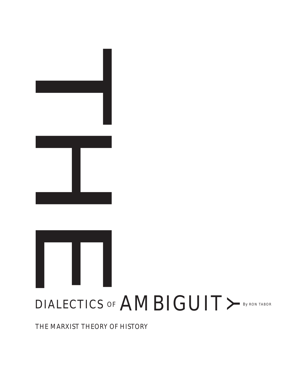# DIALECTICS OF  $\mathbf{AMBIGUIT} \bm{\succ}$  by ron tabor

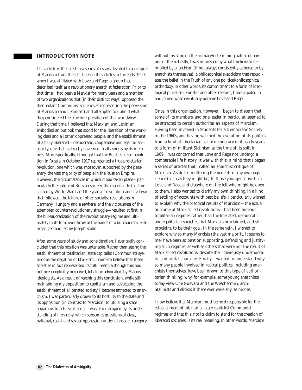#### **INTRODUCTORY NOTE**

This article is the latest in a series of essays devoted to a critique of Marxism from the left. I began the articles in the early 1990s when I was affiliated with Love and Rage, a group that described itself as a revolutionary anarchist federation. Prior to that time, I had been a Marxist for many years and a member of two organizations that (in their distinct ways) opposed the then-extant Communist societies as representing the perversion of Marxism (and Leninism) and attempted to uphold what they considered the true interpretation of that worldview. During that time, I believed that Marxism and Leninism embodied an outlook that stood for the liberation of the working class and all other oppressed people, and the establishment of a truly liberated—democratic, cooperative and egalitarian society, one that is directly governed in all aspects by its members. More specifically, I thought that the Bolshevik-led revolution in Russia in October 1917 represented a true proletarian revolution, one which was, moreover, supported by the peasantry, the vast majority of people in the Russian Empire. However, the circumstances in which it had taken place—particularly the nature of Russian society, the material destruction caused by World War I and the years of revolution and civil war that followed, the failure of other socialist revolutions in Germany, Hungary and elsewhere, and the viciousness of the attempted counterrevolutionary struggle—resulted at first in the bureaucratization of the revolutionary regime and ultimately in its total overthrow at the hands of a bureaucratic elite organized and led by Joseph Stalin.

After some years of study and consideration, I eventually concluded that this position was untenable. Rather than seeing the establishment of totalitarian, state capitalist (Communist) systems as the negation of Marxism, I came to believe that these societies in fact represented its fulfillment, although this had not been explicitly perceived, let alone advocated, by Marxist ideologists. As a result of reaching this conclusion, while still maintaining my opposition to capitalism and advocating the establishment of a liberated society, I became attracted to anarchism. I was particularly drawn to its hostility to the state and its opposition (in contrast to Marxism) to utilizing a state apparatus to achieve its goal. I was also intrigued by its understanding of hierarchy, which subsumes questions of class, national, racial and sexual oppression under a broader category without insisting on the primacy/determining nature of any one of them. Lastly, I was impressed by what I believe to be implied by anarchism (if not always consistently adhered to by anarchists themselves): a philosophical skepticism that repudiates the belief in the Truth of any one political/philosophical orthodoxy, in other words, its commitment to a form of ideological pluralism. For this and other reasons, I participated in and joined what eventually became Love and Rage.

Once in this organization, however, I began to discern that some of its members, and one leader in particular, seemed to be attracted to certain authoritarian aspects of Marxism. Having been involved in Students for a Democratic Society in the 1960s, and having watched the evolution of its politics from a kind of libertarian social democracy in its early years to a form of militant Stalinism at the time of its split in 1969, I was concerned that Love and Rage not undergo a comparable life history. It was with this in mind that I began a series of articles that I called an anarchist critique of Marxism. Aside from offering the benefits of my own experience (such as they might be) to those younger activists in Love and Rage and elsewhere on the left who might be open to them, I also wanted to clarify my own thinking, in a kind of settling of accounts with past beliefs. I particularly wished to explain why the practical results of Marxism—the actual outcome of Marxist-led revolutions—had been hideous totalitarian regimes rather than the liberated, democratic and egalitarian societies that Marxists proclaimed, and still proclaim, to be their goal. In the same vein, I wished to explore why so many Marxists (the vast majority, it seems to me) have been so bent on supporting, defending and justifying such regimes, as well as others that were not the result of Marxist-led revolutions, despite their obviously undemocratic and brutal character. Finally, I wanted to understand why so many people involved in radical politics, including anarchists themselves, have been drawn to this type of authoritarian thinking; why, for example, some young anarchists today view Che Guevara and the Weathermen, arch-Stalinists and elitists if there ever were any, as heroes.

I now believe that Marxism must be held responsible for the establishment of totalitarian state capitalist Communist regimes and that this, not its claim to stand for the creation of liberated societies, is its real meaning. In other words, Marxism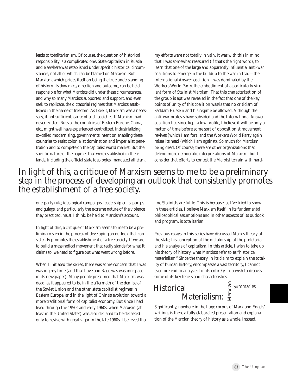leads to totalitarianism. Of course, the question of historical responsibility is a complicated one. State capitalism in Russia and elsewhere was established under specific historical circumstances, not all of which can be blamed on Marxism. But Marxism, which prides itself on being the true understanding of history, its dynamics, direction and outcome, can be held responsible for what Marxists did under these circumstances, and why so many Marxists supported and support, and even seek to replicate, the dictatorial regimes that Marxists established in the name of freedom. As I see it, Marxism was a necessary, if not sufficient, cause of such societies. If Marxism had never existed, Russia, the countries of Eastern Europe, China, etc., might well have experienced centralized, industrializing, so-called modernizing, governments intent on enabling these countries to resist colonialist domination and imperialist penetration and to compete on the capitalist world market. But the specific nature of the regimes that were established in these lands, including the official state ideologies, mandated atheism,

my efforts were not totally in vain. It was with this in mind that I was somewhat reassured (if that's the right word), to learn that one of the large and apparently influential anti-war coalitions to emerge in the buildup to the war in Iraq—the International Answer coalition—was dominated by the Workers World Party, the embodiment of a particularly virulent form of Stalinist Marxism. That this characterization of the group is apt was revealed in the fact that one of the key points of unity of this coalition was/is that no criticism of Saddam Hussein and his regime be allowed. Although the anti-war protests have subsided and the International Answer coalition has since kept a low profile, I believe it will be only a matter of time before some sort of oppositionist movement revives (which I am for), and the Workers World Party again raises its head (which I am against). So much for Marxism being dead. Of course, there are other organizations that defend more democratic interpretations of Marxism, but I consider that efforts to contest the Marxist terrain with hard-

## In light of this, a critique of Marxism seems to me to be a preliminary step in the process of developing an outlook that consistently promotes the establishment of a free society.

one-party rule, ideological campaigns, leadership cults, purges and gulags, and particularly the extreme nature of the violence they practiced, must, I think, be held to Marxism's account.

In light of this, a critique of Marxism seems to me to be a preliminary step in the process of developing an outlook that consistently promotes the establishment of a free society. If we are to build a mass radical movement that really stands for what it claims to, we need to figure out what went wrong before.

When I initiated the series, there was some concern that I was wasting my time (and that Love and Rage was wasting space in its newspaper). Many people presumed that Marxism was dead, as it appeared to be in the aftermath of the demise of the Soviet Union and the other state capitalist regimes in Eastern Europe, and in the light of China's evolution toward a more traditional form of capitalist economy. But since I had lived through the 1950s and early 1960s, when Marxism (at least in the United States) was also declared to be deceased only to revive with great vigor in the late 1960s, I believed that line Stalinists are futile. This is because, as I've tried to show in these articles, I believe Marxism itself, in its fundamental philosophical assumptions and in other aspects of its outlook and program, is totalitarian.

Previous essays in this series have discussed Marx's theory of the state, his conception of the dictatorship of the proletariat and his analysis of capitalism. In this article, I wish to take up his theory of history, what Marxists refer to as "historical materialism." Since the theory, in its claim to explain the totality of human history, encompasses a vast territory, I cannot even pretend to analyze it in its entirety. I do wish to discuss some of its key tenets and characteristics.

#### $M$ aterialism:  $\frac{1}{N}$ **Historical** al<br>¤al<br>Materialism: § Summaries

Significantly, nowhere in the huge corpus of Marx and Engels' writings is there a fully elaborated presentation and explanation of the Marxian theory of history as a whole. Instead,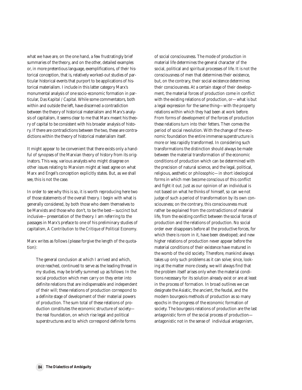what we have are, on the one hand, a few frustratingly brief summaries of the theory, and on the other, detailed examples or, in more pretentious language, exemplifications, of their historical conception, that is, relatively worked-out studies of particular historical events that purport to be applications of historical materialism. I include in this latter category Marx's monumental analysis of one socio-economic formation in particular, *Das Kapital / Capital*. While some commentators, both within and outside the left, have discerned a contradiction between the theory of historical materialism and Marx's analysis of capitalism, it seems clear to me that Marx meant his theory of capital to be consistent with his broader analysis of history. If there are contradictions between the two, these are contradictions within the theory of historical materialism itself.

It might appear to be convenient that there exists only a handful of synopses of the Marxian theory of history from its originators. This way, various analysts who might disagree on other issues relating to Marxism might at least agree on what Marx and Engel's conception explicitly states. But, as we shall see, this is not the case.

In order to see why this is so, it is worth reproducing here two of those statements of the overall theory. I begin with what is generally considered, by both those who deem themselves to be Marxists and those who don't, to be the best—succinct but inclusive—presentation of the theory. I am referring to the passages in Marx's preface to one of his preliminary studies of capitalism, *A Contribution to the Critique of Political Economy*.

Marx writes as follows (please forgive the length of the quotation):

The general conclusion at which I arrived and which, once reached, continued to serve as the leading thread in my studies, may be briefly summed up as follows: In the social production which men carry on they enter into definite relations that are indispensable and independent of their will; these relations of production correspond to a definite stage of development of their material powers of production. The sum total of these relations of production constitutes the economic structure of society the real foundation, on which rise legal and political superstructures and to which correspond definite forms

of social consciousness. The mode of production in material life determines the general character of the social, political and spiritual processes of life. It is not the consciousness of men that determines their existence, but, on the contrary, their social existence determines their consciousness. At a certain stage of their development, the material forces of production come in conflict with the existing relations of production, or—what is but a legal expression for the same thing—with the property relations within which they had been at work before. From forms of development of the forces of production these relations turn into their fetters. Then comes the period of social revolution. With the change of the economic foundation the entire immense superstructure is more or less rapidly transformed. In considering such transformations the distinction should always be made between the material transformation of the economic conditions of production which can be determined with the precision of natural science, and the legal, political, religious, aesthetic or philosophic—in short ideological forms in which men become conscious of this conflict and fight it out. Just as our opinion of an individual is not based on what he thinks of himself, so can we not judge of such a period of transformation by its own consciousness; on the contrary, this consciousness must rather be explained from the contradictions of material life, from the existing conflict between the social forces of production and the relations of production. No social order ever disappears before all the productive forces, for which there is room in it, have been developed; and new higher relations of production never appear before the material conditions of their existence have matured in the womb of the old society. Therefore, mankind always takes up only such problems as it can solve; since, looking at the matter more closely, we will always find that the problem itself arises only when the material conditions necessary for its solution already exist or are at least in the process of formation. In broad outlines we can designate the Asiatic, the ancient, the feudal, and the modern bourgeois methods of production as so many epochs in the progress of the economic formation of society. The bourgeois relations of production are the last antagonistic form of the social process of production antagonistic not in the sense of individual antagonism,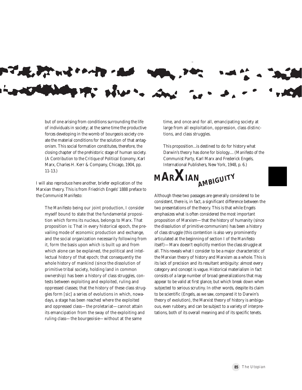but of one arising from conditions surrounding the life of individuals in society; at the same time the productive forces developing in the womb of bourgeois society create the material conditions for the solution of that antag-

**PART WIND** 

onism. This social formation constitutes, therefore, the closing chapter of the prehistoric stage of human society. (*A Contribution to the Critique of Political Economy*, Karl Marx, Charles H. Kerr & Company, Chicago, 1904, pp. 11-13.)

I will also reproduce here another, briefer explication of the Marxian theory. This is from Friedrich Engels' 1888 preface to the *Communist Manifesto*:

The *Manifesto* being our joint production, I consider myself bound to state that the fundamental proposition which forms its nucleus, belongs to Marx. That proposition is: That in every historical epoch, the prevailing mode of economic production and exchange, and the social organization necessarily following from it, form the basis upon which is built up and from which alone can be explained, the political and intellectual history of that epoch; that consequently the whole history of mankind (since the dissolution of primitive tribal society, holding land in common ownership) has been a history of class struggles, contests between exploiting and exploited, ruling and oppressed classes; that the history of these class struggles form [sic] a series of evolutions in which, nowadays, a stage has been reached where the exploited and oppressed class—the proletariat—cannot attain its emancipation from the sway of the exploiting and ruling class—the bourgeoisie—without at the same

time, and once and for all, emancipating society at large from all exploitation, oppression, class distinctions, and class struggles.

This proposition...is destined to do for history what Darwin's theory has done for biology.... (*Manifesto of the Communist Party*, Karl Marx and Frederick Engels, International Publishers, New York, 1948, p. 6.)



Although these two passages are generally considered to be consistent, there is, in fact, a significant difference between the two presentations of the theory. This is that while Engels emphasizes what is often considered the most important proposition of Marxism—that the history of humanity (since the dissolution of primitive communism) has been a history of class struggle (this contention is also very prominently articulated at the beginning of section I of the *Manifesto* itself)—Marx doesn't explicitly mention the class struggle at all. This reveals what I consider to be a major characteristic of the Marxian theory of history and Marxism as a whole. This is its lack of precision and its resultant ambiguity: almost every category and concept is vague. Historical materialism in fact consists of a large number of broad generalizations that may appear to be valid at first glance, but which break down when subjected to serious scrutiny. In other words, despite its claim to be scientific (Engels, as we saw, compared it to Darwin's theory of evolution), the Marxist theory of history is ambiguous, even rubbery, and can be subject to a variety of interpretations, both of its overall meaning and of its specific tenets.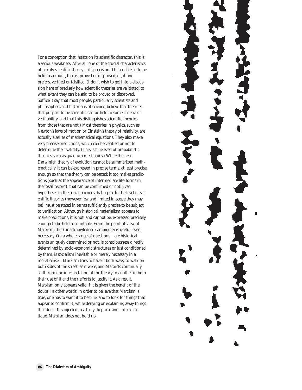For a conception that insists on its scientific character, this is a serious weakness. After all, one of the crucial characteristics of a truly scientific theory is its precision. This enables it to be held to account, that is, proved or disproved, or, if one prefers, verified or falsified. (I don't wish to get into a discussion here of precisely how scientific theories are validated, to what extent they can be said to be proved or disproved. Suffice it say, that most people, particularly scientists and philosophers and historians of science, believe that theories that purport to be scientific can be held to some criteria of verifiability, and that this distinguishes scientific theories from those that are not.) Most theories in physics, such as Newton's laws of motion or Einstein's theory of relativity, are actually a series of mathematical equations. They also make very precise predictions, which can be verified or not to determine their validity. (This is true even of probabilistic theories such as quantum mechanics.) While the neo-Darwinian theory of evolution cannot be summarized mathematically, it can be expressed in precise terms, at least precise enough so that the theory can be tested: it too makes predictions (such as the appearance of intermediate life-forms in the fossil record), that can be confirmed or not. Even hypotheses in the social sciences that aspire to the level of scientific theories (however few and limited in scope they may be), must be stated in terms sufficiently precise to be subject to verification. Although historical materialism appears to make predictions, it is not, and cannot be, expressed precisely enough to be held accountable. From the point of view of Marxism, this (unacknowledged) ambiguity is useful, even necessary. On a whole range of questions—are historical events uniquely determined or not, is consciousness directly determined by socio-economic structures or just conditioned by them, is socialism inevitable or merely necessary in a moral sense—Marxism tries to have it both ways, to walk on both sides of the street, as it were, and Marxists continually shift from one interpretation of the theory to another in both their use of it and their efforts to justify it. As a result, Marxism only appears valid if it is given the benefit of the doubt. In other words, in order to believe that Marxism is true, one has to *want* it to be true, and to look for things that appear to confirm it, while denying or explaining away things that don't. If subjected to a truly skeptical and critical critique, Marxism does not hold up.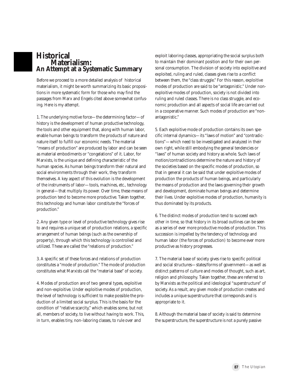

## **Historical Materialism: Summary An Attempt at a Systematic SummaryHistorical**

Before we proceed to a more detailed analysis of historical materialism, it might be worth summarizing its basic propositions in more systematic form for those who may find the passages from Marx and Engels cited above somewhat confusing. Here is my attempt.

1. The underlying motive force—the determining factor—of history is the development of human productive technology, the tools and other equipment that, along with human labor, enable human beings to transform the products of nature and nature itself to fulfill our economic needs. The material "means of production" are produced by labor and can be seen as material embodiments or "congelations" of it. Labor, for Marxists, is the unique and defining characteristic of the human species. As human beings transform their natural and social environments through their work, they transform themselves. A key aspect of this evolution is the development of the instruments of labor—tools, machines, etc., technology in general—that multiply its power. Over time, these means of production tend to become more productive. Taken together, this technology and human labor constitute the "forces of production."

2. Any given type or level of productive technology gives rise to and requires a unique set of production relations, a specific arrangement of human beings (such as the ownership of property), through which this technology is controlled and utilized. These are called the "relations of production."

3. A specific set of these forces and relations of production constitutes a "mode of production." The mode of production constitutes what Marxists call the "material base" of society.

4. Modes of production are of two general types, exploitive and non-exploitive. Under exploitive modes of production, the level of technology is sufficient to make possible the production of a limited social surplus. This is the basis for the condition of "relative scarcity," which enables some, but not all, members of society, to live without having to work. This, in turn, enables tiny, non-laboring classes, to rule over and

exploit laboring classes, appropriating the social surplus both to maintain their dominant position and for their own personal consumption. The division of society into exploitive and exploited, ruling and ruled, classes gives rise to a conflict between them, the "class struggle." For this reason, exploitive modes of production are said to be "antagonistic." Under nonexploitive modes of production, society is not divided into ruling and ruled classes. There is no class struggle, and economic production and all aspects of social life are carried out in a cooperative manner. Such modes of production are "nonantagonistic."

5. Each exploitive mode of production contains its own specific internal dynamics—its "laws of motion" and "contradictions"—which need to be investigated and analyzed in their own right, while still embodying the general tendencies or "laws" of human society and history as whole. Such laws of motion/contradictions determine the nature and history of the societies based on the specific modes of production, so that in general it can be said that under exploitive modes of production the products of human beings, and particularly the means of production and the laws governing their growth and development, dominate human beings and determine their lives. Under exploitive modes of production, humanity is thus dominated by its products.

6. The distinct modes of production tend to succeed each other in time, so that history in its broad outlines can be seen as a series of ever more productive modes of production. This succession is impelled by the tendency of technology and human labor (the forces of production) to become ever more productive as history progresses.

7. The material base of society gives rise to specific political and social structures—states/forms of government—as well as distinct patterns of culture and modes of thought, such as art, religion and philosophy. Taken together, these are referred to by Marxists as the political and ideological "superstructure" of society. As a result, any given mode of production creates and includes a unique superstructure that corresponds and is appropriate to it.

8. Although the material base of society is said to determine the superstructure, the superstructure is not a purely passive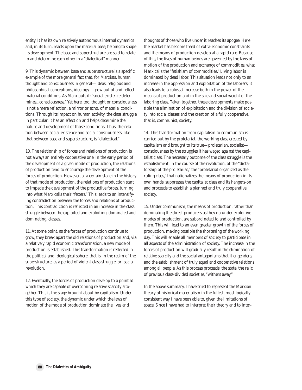entity. It has its own relatively autonomous internal dynamics and, in its turn, reacts upon the material base, helping to shape its development. The base and superstructure are said to relate to and determine each other in a "dialectical" manner.

9. This dynamic between base and superstructure is a specific example of the more general fact that, for Marxists, human thought and consciousness in general—ideas, religious and philosophical conceptions, ideology—grow out of and reflect material conditions. As Marx puts it: "social existence determines...consciousness." Yet here, too, thought or consciousness is not a mere reflection, a mirror or echo, of material conditions. Through its impact on human activity, the class struggle in particular, it has an effect on and helps determine the nature and development of those conditions. Thus, the relation between social existence and social consciousness, like that between base and superstructure, is "dialectical."

10. The relationship of forces and relations of production is not always an entirely cooperative one. In the early period of the development of a given mode of production, the relations of production tend to encourage the development of the forces of production. However, at a certain stage in the history of that mode of production, the relations of production start to impede the development of the productive forces, turning into what Marx calls their "fetters." This leads to an intensifying contradiction between the forces and relations of production. This contradiction is reflected in an increase in the class struggle between the exploited and exploiting, dominated and dominating, classes.

11. At some point, as the forces of production continue to grow, they break apart the old relations of production and, via a relatively rapid economic transformation, a new mode of production is established. This transformation is reflected in the political and ideological sphere, that is, in the realm of the superstructure, as a period of violent class struggle, or social revolution.

12. Eventually, the forces of production develop to a point at which they are capable of overcoming relative scarcity altogether. This is the stage brought about by capitalism. Under this type of society, the dynamic under which the laws of motion of the mode of production dominate the lives and

thoughts of those who live under it reaches its apogee. Here the market has become freed of extra-economic constraints and the means of production develop at a rapid rate. Because of this, the lives of human beings are governed by the laws of motion of the production and exchange of commodities, what Marx calls the "fetishism of commodities." Living labor is dominated by dead labor. This situation leads not only to an increase in the oppression and exploitation of the laborers; it also leads to a colossal increase both in the power of the means of production and in the size and social weight of the laboring class. Taken together, these developments make possible the elimination of exploitation and the division of society into social classes and the creation of a fully cooperative, that is, communist, society.

14. This transformation from capitalism to communism is carried out by the proletariat, the working class created by capitalism and brought to its true—proletarian, socialist consciousness by the struggles it has waged against the capitalist class. The necessary outcome of the class struggle is the establishment, in the course of the revolution, of the "dictatorship of the proletariat," the "proletariat organized as the ruling class," that nationalizes the means of production in its own hands, suppresses the capitalist class and its hangers-on and proceeds to establish a planned and truly cooperative society.

15. Under communism, the means of production, rather than dominating the direct producers as they do under exploitive modes of production, are subordinated to and controlled by them. This will lead to an even greater growth of the forces of production, making possible the shortening of the working day. This will enable all members of society to participate in all aspects of the administration of society. The increase in the forces of production will gradually result in the elimination of relative scarcity and the social antagonisms that it engenders, and the establishment of truly equal and cooperative relations among all people. As this process proceeds, the state, the relic of previous class-divided societies, "withers away."

In the above summary, I have tried to represent the Marxian theory of historical materialism in the fullest, most logically consistent way I have been able to, given the limitations of space. Since I have had to interpret their theory and to inter-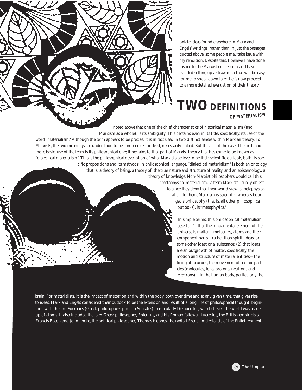polate ideas found elsewhere in Marx and Engels' writings, rather than in just the passages quoted above, some people may take issue with my rendition. Despite this, I believe I have done justice to the Marxist conception and have avoided setting up a straw man that will be easy for me to shoot down later. Let's now proceed to a more detailed evaluation of their theory.

# **TWO DEFINITIONS OF MATERIALISM**

I noted above that one of the chief characteristics of historical materialism (and Marxism as a whole), is its ambiguity. This pertains even in its title, specifically, its use of the word "materialism." Although the term appears to be precise, it is in fact used in two distinct senses within Marxian theory. To

Marxists, the two meanings are understood to be compatible—indeed, necessarily linked. But this is not the case. The first, and more basic, use of the term is its philosophical one; it pertains to that part of Marxist theory that has come to be known as "dialectical materialism." This is the philosophical description of what Marxists believe to be their scientific outlook, both its specific propositions and its methods. In philosophical language, "dialectical materialism" is both an ontology,

that is, a theory of being, a theory of the true nature and structure of reality, and an epistemology, a theory of knowledge. Non-Marxist philosophers would call this

> "metaphysical materialism," a term Marxists usually object to since they deny that their world view is metaphysical at all; to them, Marxism is scientific, whereas bourgeois philosophy (that is, all other philosophical outlooks), is "metaphysics."

> > In simple terms, this philosophical materialism asserts: (1) that the fundamental element of the universe is matter—molecules, atoms and their component parts—rather than spirit, ideas, or some other ideational substance; (2) that ideas are an outgrowth of matter, specifically, the motion and structure of material entities—the firing of neurons, the movement of atomic particles (molecules, ions, protons, neutrons and electrons)—in the human body, particularly the

brain. For materialists, it is the impact of matter on and within the body, both over time and at any given time, that gives rise to ideas. Marx and Engels considered their outlook to be the extension and result of a long line of philosophical thought, beginning with the pre-Socratics (Greek philosophers prior to Socrates), particularly Democritus, who believed the world was made up of atoms. It also included the later Greek philosopher, Epicurus, and his Roman follower, Lucretius, the British empiricists, Francis Bacon and John Locke, the political philosopher, Thomas Hobbes, the radical French materialists of the Enlightenment,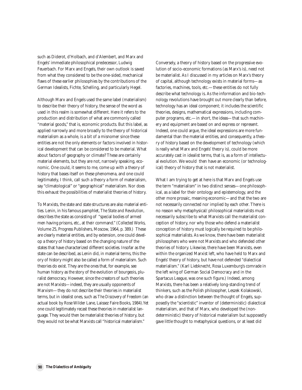such as Diderot, d'Holbach, and d'Alembert, and Marx and Engels' immediate philosophical predecessor, Ludwig Feuerbach. For Marx and Engels, their own outlook is saved from what they considered to be the one-sided, mechanical flaws of these earlier philosophies by the contributions of the German Idealists, Fichte, Schelling, and particularly Hegel.

Although Marx and Engels used the same label (materialism) to describe their theory of history, the sense of the word as used in this realm is somewhat different. Here it refers to the production and distribution of what are commonly called "material goods," that is, economic products. But this label, as applied narrowly and more broadly to the theory of historical materialism as a whole, is a bit of a misnomer since these entities are not the only elements or factors involved in historical development that can be considered to be material. What about factors of geography or climate? These are certainly material elements, but they are not, narrowly speaking, economic. One could, it seems to me, come up with a theory of history that bases itself on these phenomena, and one could legitimately, I think, call such a theory a form of materialism, say "climatological" or "geographical" materialism. Nor does this exhaust the possibilities of materialist theories of history.

To Marxists, the state and state structures are also material entities. Lenin, in his famous pamphlet, *The State and Revolution*, describes the state as consisting of "special bodies of armed men having prisons, etc., at their command." (*Collected Works*, Volume 25, Progress Publishers, Moscow, 1964, p. 389.) These are clearly material entities, and by extension, one could develop a theory of history based on the changing nature of the states that have characterized different societies. Insofar as the state can be described, as Lenin did, in material terms, this theory of history might also be called a form of materialism. Such theories do exist. They are the ones that, for example, see human history as the story of the evolution of bourgeois, pluralist democracy. However, since the creators of such theories are not Marxists—indeed, they are usually opponents of Marxism—they do not describe their theories in materialist terms, but in idealist ones, such as *The Discovery of Freedom* (an actual book by Rose Wilder Lane, Laissez Faire Books, 1984).Yet one could legitimately recast these theories in materialist language. They would then be materialist theories of history, but they would not be what Marxists call "historical materialism."

Conversely, a theory of history based on the progressive evolution of socio-economic formations (as Marx's is), need not be materialist. As I discussed in my articles on Marx's theory of capital, although technology exists in material forms—as factories, machines, tools, etc.—these entities do not fully describe what technology is. As the information and bio-technology revolutions have brought out more clearly than before, technology has an ideal component; it includes the scientific theories, designs, mathematical expressions, including computer programs, etc.—in short, the ideas—that such machinery and equipment are based on and express or represent. Indeed, one could argue, the ideal expressions are more fundamental than the material entities, and consequently, a theory of history based on the development of technology (which is really what Marx and Engels' theory is), could be more accurately cast in idealist terms, that is, as a form of intellectual evolution. We would then have an economic (or technological) theory of history that is not materialist.

What I am trying to get at here is that Marx and Engels use the term "materialism" in two distinct senses—one philosophical, as a label for their ontology and epistemology, and the other more prosaic, meaning economic—and that the two are not necessarily connected nor implied by each other. There is no reason why metaphysical/ philosophical materialists must necessarily subscribe to what Marxists call the materialist conception of history, nor why those who defend a materialist conception of history must logically be required to be philosophical materialists. As we know, there have been materialist philosophers who were not Marxists and who defended other theories of history. Likewise, there have been Marxists, even within the organized Marxist left, who have held to Marx and Engels' theory of history, but have not defended "dialectical materialism." (Karl Liebknecht, Rosa Luxemburg's comrade in the left wing of German Social Democracy and in the Spartacus League, was one such figure.) Indeed, among Marxists, there has been a relatively long-standing trend of thinkers, such as the Polish philosopher, Leszek Kolakowski, who draw a distinction between the thought of Engels, supposedly the "scientistic" inventor of (deterministic) dialectical materialism, and that of Marx, who developed the (nondeterministic) theory of historical materialism but supposedly gave little thought to metaphysical questions, or at least did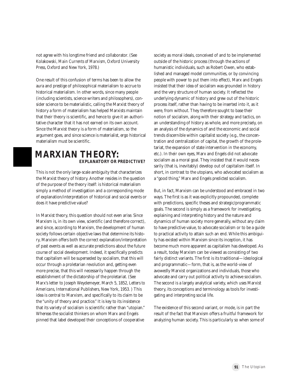not agree with his longtime friend and collaborator. (See Kolakowski, *Main Currents of Marxism*, Oxford University Press, Oxford and New York, 1978.)

One result of this confusion of terms has been to allow the aura and prestige of philosophical materialism to accrue to historical materialism. In other words, since many people (including scientists, science writers and philosophers), consider science to be materialistic, calling the Marxist theory of history a form of materialism has helped Marxists maintain that their theory is scientific, and hence to give it an authoritative character that it has not earned on its own account. Since the Marxist theory is a form of materialism, so the argument goes, and since science is materialist, ergo historical materialism must be scientific.

## **MARXIAN THEORY: EXPLANATORY OR PREDICTIVE? EXPLANATORY OR PREDICTIVE?MARXIAN THEORY:**

This is not the only large-scale ambiguity that characterizes the Marxist theory of history. Another resides in the question of the purpose of the theory itself: is historical materialism simply a method of investigation and a corresponding mode of explanation/interpretation of historical and social events or does it have predictive value?

In Marxist theory, this question should not even arise. Since Marxism is, in its own view, scientific (and therefore correct), and since, according to Marxism, the development of human society follows certain objective laws that determine its history, Marxism offers both the correct explanation/interpretation of past events as well as accurate predictions about the future course of social development. Indeed, it specifically predicts that capitalism will be superseded by socialism, that this will occur through a proletarian revolution and, getting even more precise, that this will necessarily happen through the establishment of the dictatorship of the proletariat. (See Marx's letter to Joseph Weydemeyer, March 5, 1852, *Letters to Americans*, International Publishers, New York, 1953. ) This idea is central to Marxism, and specifically to its claim to be the "unity of theory and practice." It is key to its insistence that its variety of socialism is scientific rather than "utopian." Whereas the socialist thinkers on whom Marx and Engels pinned that label developed their conceptions of cooperative

society as moral ideals, conceived of and to be implemented outside of the historic process (through the actions of humanistic individuals, such as Robert Owen, who established and managed model communities, or by convincing people with power to put them into effect), Marx and Engels insisted that their idea of socialism was grounded in history and the very structure of human society. It reflected the underlying dynamic of history and grew out of the historic process itself, rather than having to be inserted into it, as it were, from without. They therefore sought to base their notion of socialism, along with their strategy and tactics, on an understanding of history as whole, and more precisely, on an analysis of the dynamics of and the economic and social trends discernible within capitalist society (e.g., the concentration and centralization of capital, the growth of the proletariat, the expansion of state intervention in the economy, etc.). In their own eyes, Marx and Engels did not advocate socialism as a moral goal. They insisted that it would necessarily (that is, inevitably) develop out of capitalism itself. In short, in contrast to the utopians, who advocated socialism as a "good thing," Marx and Engels *predicted* socialism.

But, in fact, Marxism can be understood and embraced in two ways. The first is as it was explicitly propounded, complete with predictions, specific theses and strategic/programmatic goals. The second is simply as a framework for investigating, explaining and interpreting history and the nature and dynamics of human society more generally, without any claim to have predictive value, to advocate socialism or to be a guide to practical activity to attain such an end. While this ambiguity has existed within Marxism since its inception, it has become much more apparent as capitalism has developed. As a result, today Marxism can be viewed as consisting of two fairly distinct variants. The first is its traditional—ideological and programmatic—form, that is, as the world-view of avowedly Marxist organizations and individuals, those who advocate and carry out political activity to achieve socialism. The second is a largely analytical variety, which uses Marxist theory, its conceptions and terminology as tools for investigating and interpreting social life.

The existence of this second variant, or mode, is in part the result of the fact that Marxism offers a fruitful framework for analyzing human society. This is particularly so when some of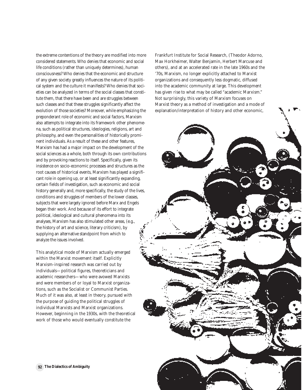the extreme contentions of the theory are modified into more considered statements. Who denies that economic and social life conditions (rather than uniquely determines), human consciousness? Who denies that the economic and structure of any given society greatly influences the nature of its political system and the culture it manifests? Who denies that societies can be analyzed in terms of the social classes that constitute them, that there have been and are struggles between such classes and that these struggles significantly affect the evolution of those societies? Moreover, while emphasizing the preponderant role of economic and social factors, Marxism also attempts to integrate into its framework other phenomena, such as political structures, ideologies, religions, art and philosophy, and even the personalities of historically prominent individuals. As a result of these and other features, Marxism has had a major impact on the development of the social sciences as a whole, both through its own contributions and by provoking reactions to itself. Specifically, given its insistence on socio-economic processes and structures as the root causes of historical events, Marxism has played a significant role in opening up, or at least significantly expanding, certain fields of investigation, such as economic and social history generally and, more specifically, the study of the lives, conditions and struggles of members of the lower classes, subjects that were largely ignored before Marx and Engels began their work. And because of its effort to integrate political, ideological and cultural phenomena into its analyses, Marxism has also stimulated other areas, (e.g., the history of art and science, literary criticism), by supplying an alternative standpoint from which to analyze the issues involved.

This analytical mode of Marxism actually emerged within the Marxist movement itself. Explicitly Marxism-inspired research was carried out by individuals—political figures, theoreticians and academic researchers—who were avowed Marxists and were members of or loyal to Marxist organizations, such as the Socialist or Communist Parties. Much of it was also, at least in theory, pursued with the purpose of guiding the political struggles of individual Marxists and Marxist organizations. However, beginning in the 1930s, with the theoretical work of those who would eventually constitute the

Frankfurt Institute for Social Research, (Theodor Adorno, Max Horkheimer, Walter Benjamin, Herbert Marcuse and others), and at an accelerated rate in the late 1960s and the '70s, Marxism, no longer explicitly attached to Marxist organizations and consequently less dogmatic, diffused into the academic community at large. This development has given rise to what may be called "academic Marxism." Not surprisingly, this variety of Marxism focuses on Marxist theory as a method of investigation and a mode of explanation/interpretation of history and other economic,

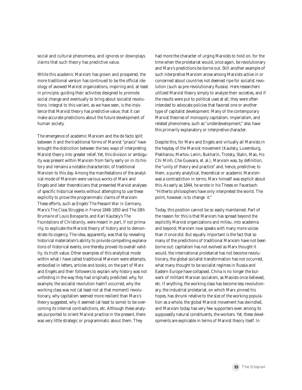social and cultural phenomena, and ignores or downplays claims that such theory has predictive value.

While this academic Marxism has grown and prospered, the more traditional version has continued to be the official ideology of avowed Marxist organizations, inspiring and, at least in principle, guiding their activities designed to promote social change and eventually to bring about socialist revolutions. Integral to this variant, as we have seen, is the insistence that Marxist theory has predictive value, that it can make accurate predictions about the future development of human society.

The emergence of academic Marxism and the de facto split between it and the traditional forms of Marxist "praxis" have brought the distinction between the two ways of interpreting Marxist theory into greater relief. Yet, this division or ambiguity was present within Marxism from fairly early on in its history and remains a notable characteristic of traditional Marxism to this day. Among the manifestations of the analytical mode of Marxism were various works of Marx and Engels and later theoreticians that presented Marxist analyses of specific historical events without attempting to use these explicitly to prove the programmatic claims of Marxism. These efforts, such as Engels' *The Peasant War in Germany*, Marx's *The Class Struggles in France 1848-1850* and *The 18th Brumaire of Louis Bonaparte*, and Karl Kautsky's *The Foundations of Christianity*, were meant in part, if not primarily, to explicate the Marxist theory of history and to demonstrate its cogency. The idea, apparently, was that by revealing historical materialism's ability to provide compelling explanations of historical events, one thereby proved its overall validity, its truth value. Other examples of this analytical mode within what I have called traditional Marxism were attempts, embodied in letters, articles and books, on the part of Marx and Engels and their followers to explain why history was not unfolding in the way they had originally predicted: why, for example, the socialist revolution hadn't occurred, why the working class was not (at least not at that moment) revolutionary, why capitalism seemed more resilient than Marx's theory suggested, why it seemed (at least to some) to be overcoming its internal contradictions, etc. Although these analyses purported to orient Marxist practice in the present, there was very little strategic or programmatic about them. They

had more the character of urging Marxists to hold on, for the time when the proletariat would, once again, be revolutionary and Marx's predictions be borne out. Still another example of such interpretive Marxism arose among Marxists active in or concerned about countries not deemed ripe for socialist revolution (such as pre-revolutionary Russia). Here researchers utilized Marxist theory simply to analyze their societies, and if the results were put to political uses at all, they were often intended to advocate policies that favored one or another type of capitalist development. Many of the contemporary Marxist theories of monopoly capitalism, imperialism, and related phenomena, such as "underdevelopment," also have this primarily explanatory or interpretive character.

Despite this, for Marx and Engels and virtually all Marxists in the heyday of the Marxist movement (Kautsky, Luxemburg, Plekhanov, Martov, Lenin, Bukharin, Trotsky, Stalin, Mao, Ho Chi Minh, Che Guevara, et. al.), Marxism was, by definition, the "unity of theory and practice" and, hence, predictive; to them, a purely analytical, theoretical or academic Marxism was a contradiction in terms. Marx himself was explicit about this. As early as 1844, he wrote in his *Theses on Feuerbach*: "Hitherto philosophers have only interpreted the world. The point, however, is to change it."

Today, this position cannot be so easily maintained. Part of the reason for this is that Marxism has spread beyond the explicitly Marxist organizations and milieu, into academia and beyond; Marxism now speaks with many more voices than it once did. But equally important is the fact that so many of the predictions of traditional Marxism have not been borne out: capitalism has not evolved as Marx thought it would, the international proletariat has not become revolutionary, the global socialist transformation has not occurred, what many thought to be socialist regimes in Russia and Eastern Europe have collapsed, China is no longer the bulwark of militant Marxian socialism, as Maoists once believed, etc. If anything, the working class has become less revolutionary, the industrial proletariat, on which Marx pinned his hopes, has shrunk relative to the size of the working population as a whole, the global Marxist movement has dwindled, and Marxism today has very few supporters even among its supposedly natural constituents, the workers. Yet, these developments are explicable in terms of Marxist theory itself. In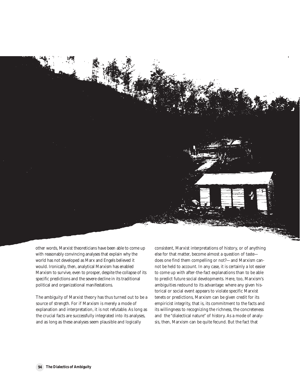

other words, Marxist theoreticians have been able to come up with reasonably convincing analyses that explain why the world has not developed as Marx and Engels believed it would. Ironically, then, analytical Marxism has enabled Marxism to survive, even to prosper, despite the collapse of its specific predictions and the severe decline in its traditional political and organizational manifestations.

The ambiguity of Marxist theory has thus turned out to be a source of strength. For if Marxism is merely a mode of explanation and interpretation, it is not refutable. As long as the crucial facts are successfully integrated into its analyses, and as long as these analyses seem plausible and logically

consistent, Marxist interpretations of history, or of anything else for that matter, become almost a question of taste does one find them compelling or not?—and Marxism cannot be held to account. In any case, it is certainly a lot easier to come up with after-the-fact explanations than to be able to predict future social developments. Here, too, Marxism's ambiguities redound to its advantage: where any given historical or social event appears to violate specific Marxist tenets or predictions, Marxism can be given credit for its empiricist integrity, that is, its commitment to the facts and its willingness to recognizing the richness, the concreteness and the "dialectical nature" of history. As a mode of analysis, then, Marxism can be quite fecund. But the fact that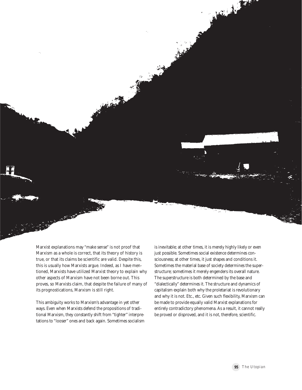No. 1.

Marxist explanations may "make sense" is not proof that Marxism as a whole is correct, that its theory of history is true, or that its claims be scientific are valid. Despite this, this is usually how Marxists argue. Indeed, as I have mentioned, Marxists have utilized Marxist theory to explain why other aspects of Marxism have not been borne out. This proves, so Marxists claim, that despite the failure of many of its prognostications, Marxism is still right.

This ambiguity works to Marxism's advantage in yet other ways. Even when Marxists defend the propositions of traditional Marxism, they constantly shift from "tighter" interpretations to "looser" ones and back again. Sometimes socialism is inevitable; at other times, it is merely highly likely or even just possible. Sometimes social existence determines consciousness; at other times, it just shapes and conditions it. Sometimes the material base of society determines the superstructure; sometimes it merely engenders its overall nature. The superstructure is both determined by the base and "dialectically" determines it. The structure and dynamics of capitalism explain both why the proletariat is revolutionary and why it is not. Etc., etc. Given such flexibility, Marxism can be made to provide equally valid Marxist explanations for entirely contradictory phenomena. As a result, it cannot really be proved or disproved, and it is not, therefore, scientific.

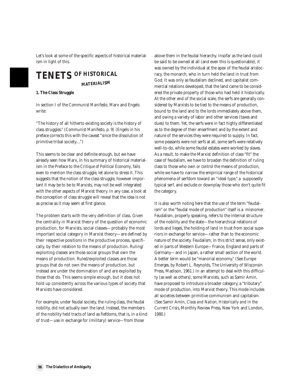Let's look at some of the specific aspects of historical materialism in light of this.

## **Tenets of Historical Materialism MATERIALISM TENETS OF HISTORICAL**

**1. The Class Struggle**

In section I of the *Communist Manifesto*, Marx and Engels write:

"The history of all hitherto existing society is the history of class struggles." (*Communist Manifesto*, p. 9) (Engels in his preface corrects this with the caveat "since the dissolution of primitive tribal society....")

This seems to be clear and definite enough, but we have already seen how Marx, in his summary of historical materialism in the Preface to the *Critique of Political Economy*, fails even to mention the class struggle, let alone to stress it. This suggests that the notion of the class struggle, however important it may be to be to Marxists, may not be well integrated with the other aspects of Marxist theory. In any case, a look at the conception of class struggle will reveal that the idea is not as precise as it may seem at first glance.

The problem starts with the very definition of class. Given the centrality in Marxist theory of the question of economic production, for Marxists, social classes—probably the most important social category in Marxist theory—are defined by their respective positions in the productive process, specifically, by their relation to the means of production. Ruling/ exploiting classes are those social groups that own the means of production. Ruled/exploited classes are those groups that do not own the means of production, but instead are under the domination of and are exploited by those that do. This seems simple enough, but it does not hold up consistently across the various types of society that Marxists have considered.

For example, under feudal society, the ruling class, the feudal nobility, did not actually own the land. Instead, the members of the nobility held tracts of land as fiefdoms, that is, in a kind of trust—use in exchange for (military) service—from those

above them in the feudal hierarchy. Insofar as the land could be said to be owned at all (and even this is questionable), it was owned by the individual at the apex of the feudal aristocracy, the monarch, who in turn held the land in trust from God. It was only as feudalism declined, and capitalist commercial relations developed, that the land came to be considered the private property of those who had held it historically. At the other end of the social scale, the serfs are generally considered by Marxists to be tied to the means of production, bound to the land and to the lords immediately above them, and owing a variety of labor and other services (taxes and dues) to them. Yet, the serfs were in fact highly differentiated as to the degree of their enserfment and by the extent and nature of the services they were required to supply. In fact, some peasants were not serfs at all, some serfs were relatively well-to-do, while some feudal estates were worked by slaves. As a result, to make the Marxist definition of class "fit" the case of feudalism, we have to broaden the definition of ruling class to those who own *or control* the means of production, while we have to narrow the empirical range of the historical phenomena of serfdom toward an "ideal type," a supposedly typical serf, and exclude or downplay those who don't quite fit the category.

It is also worth noting here that the use of the term "feudalism" or the "feudal mode of production" itself is a misnomer. Feudalism, properly speaking, refers to the internal structure of the nobility and the state—the hierarchical relations of lords and lieges, the holding of land in trust from social superiors in exchange for service—rather than to the economic nature of the society. Feudalism, in this strict sense, only existed in parts of Western Europe—France, England and parts of Germany—and in Japan, a rather small section of the world. A better term would be "manorial economy." (See *Europe Emerges*, by Robert L. Reynolds, The University of Wisconsin Press, Madison, 1961.) In an attempt to deal with this difficulty (as well as others), some Marxists, such as Samir Amin, have proposed to introduce a broader category, a "tributary" mode of production, into Marxist theory. This mode includes all societies between primitive communism and capitalism. (See Samir Amin, *Class and Nation, Historically and in the Current Crisis*, Monthly Review Press, New York and London, 1980.)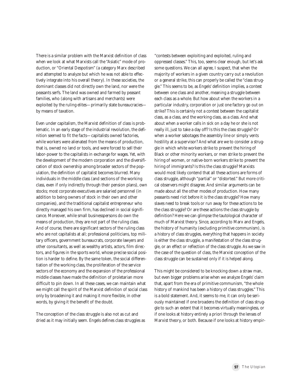There is a similar problem with the Marxist definition of class when we look at what Marxists call the "Asiatic" mode of production, or "Oriental Despotism" (a category Marx described and attempted to analyze but which he was not able to effectively integrate into his overall theory). In these societies, the dominant classes did not directly own the land, nor were the peasants serfs. The land was owned and farmed by peasant families, who (along with artisans and merchants) were exploited by the ruling elites—primarily state bureaucracies by means of taxation.

Even under capitalism, the Marxist definition of class is problematic. In an early stage of the industrial revolution, the definition seemed to fit the facts—capitalists owned factories, while workers were alienated from the means of production, that is, owned no land or tools, and were forced to sell their labor-power to the capitalists in exchange for wages. Yet, with the development of the modern corporation and the diversification of stock ownership among broader sectors of the population, the definition of capitalist becomes blurred. Many individuals in the middle class (and sections of the working class, even if only indirectly through their pension plans), own stocks; most corporate executives are salaried personnel (in addition to being owners of stock in their own and other companies), and the traditional capitalist entrepreneur who directly managed his own firm, has declined in social significance. Moreover, while small businesspersons do own the means of production, they are not part of the ruling class. And of course, there are significant sectors of the ruling class who are not capitalists at all; professional politicians, top military officers, government bureaucrats, corporate lawyers and other consultants, as well as wealthy artists, actors, film directors, and figures in the sports world, whose precise social position is harder to define. By the same token, the social differentiation of the working class, the proliferation of the service sectors of the economy and the expansion of the professional middle classes have made the definition of proletarian more difficult to pin down. In all these cases, we can maintain what we might call the spirit of the Marxist definition of social class only by broadening it and making it more flexible, in other words, by giving it the benefit of the doubt.

The conception of the class struggle is also not as cut and dried as it may initially seem. Engels defines class struggles as "contests between exploiting and exploited, ruling and oppressed classes." This, too, seems clear enough, but let's ask some questions. We can all agree, I suspect, that when the majority of workers in a given country carry out a revolution or a general strike, this can properly be called the "class struggle." This seems to be, as Engels' definition implies, a contest between one class and another, meaning a struggle between each class as a whole. But how about when the workers in a particular industry, corporation or just one factory go out on strike? This is certainly not a contest between the capitalist class, as a class, and the working class, as a class. And what about when a worker calls in sick on a day he or she is not really ill, just to take a day off? Is this the class struggle? Or when a worker sabotages the assembly line or simply vents hostility at a supervisor? And what are we to consider a struggle in which white workers strike to prevent the hiring of Black or other minority workers, or men strike to prevent the hiring of women, or native-born workers strike to prevent the hiring of immigrants? Is this the class struggle? Marxists would most likely contend that all these actions are forms of class struggle, although "partial" or "distorted." But more critical observers might disagree. And similar arguments can be made about all the other modes of production. How many peasants need riot before it is the class struggle? How many slaves need to break tools or run away for these actions to be the class struggle? Or are these actions the class struggle by definition? Here we can glimpse the tautological character of much of Marxist theory. Since, according to Marx and Engels, the history of humanity (excluding primitive communism), is a history of class struggles, everything that happens in society is either the class struggle, a manifestation of the class struggle, or an effect or reflection of the class struggle. As we saw in the case of the question of class, the Marxist conception of the class struggle can be sustained only if it is helped along.

This might be considered to be knocking down a straw man, but even bigger problems arise when we analyze Engels' claim that, apart from the era of primitive communism, "the whole history of mankind has been a history of class struggles." This is a bold statement. And, it seems to me, it can only be seriously maintained if one broadens the definition of class struggle to such an extent that it becomes virtually meaningless, or if one looks at history entirely a priori through the lenses of Marxist theory, or both. Because if one looks at history empir-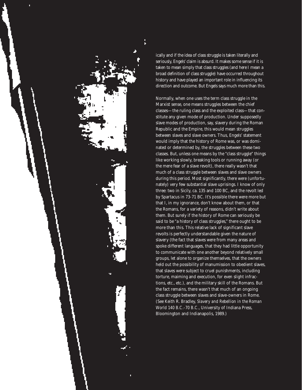

ically and if the idea of class struggle is taken literally and seriously, Engels' claim is absurd. It makes some sense if it is taken to mean simply that class struggles (and here I mean a broad definition of class struggle) have occurred throughout history and have played an important role in influencing its direction and outcome. But Engels says much more than this.

Normally, when one uses the term class struggle in the Marxist sense, one means struggles between the chief classes—the ruling class and the exploited class—that constitute any given mode of production. Under supposedly slave modes of production, say, slavery during the Roman Republic and the Empire, this would mean struggles between slaves and slave owners. Thus, Engels' statement would imply that the history of Rome was, or was dominated or determined by, the struggles between these two classes. But, unless one means by the "class struggle" things like working slowly, breaking tools or running away (or the mere fear of a slave revolt), there really wasn't that much of a class struggle between slaves and slave owners during this period. Most significantly, there were (unfortunately) very few substantial slave uprisings. I know of only three: two in Sicily, ca. 135 and 100 BC, and the revolt led by Spartacus in 73-71 BC. It's possible there were more but that I, in my ignorance, don't know about them, or that the Romans, for a variety of reasons, didn't write about them. But surely if the history of Rome can seriously be said to be "a history of class struggles," there ought to be more than this. This relative lack of significant slave revolts is perfectly understandable given the nature of slavery (the fact that slaves were from many areas and spoke different languages, that they had little opportunity to communicate with one another beyond relatively small groups, let alone to organize themselves, that the owners held out the possibility of manumission to obedient slaves, that slaves were subject to cruel punishments, including torture, maiming and execution, for even slight infractions, etc., etc.), and the military skill of the Romans. But the fact remains, there wasn't that much of an ongoing class struggle between slaves and slave-owners in Rome. (See Keith R. Bradley, *Slavery and Rebellion in the Roman World 140 B.C.-70 B.C.*, University of Indiana Press, Bloomington and Indianapolis, 1989.)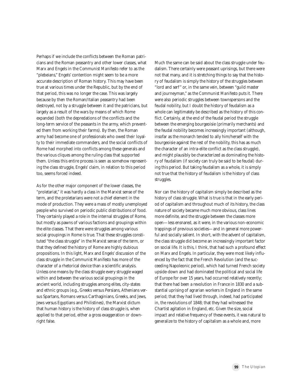Perhaps if we include the conflicts between the Roman patricians and the Roman peasantry and other lower classes, what Marx and Engels in the *Communist Manifesto* refer to as the "plebeians," Engels' contention might seem to be a more accurate description of Roman history. This may have been true at various times under the Republic, but by the end of that period, this was no longer the case. This was largely because by then the Roman/Italian peasantry had been destroyed, not by a struggle between it and the patricians, but largely as a result of the wars by means of which Rome expanded (both the depredations of the conflicts and the long-term service of the peasants in the army, which prevented them from working their farms). By then, the Roman army had become one of professionals who owed their loyalty to their immediate commanders, and the social conflicts of Rome had morphed into conflicts among these generals and the various cliques among the ruling class that supported them. Unless this entire process is seen as somehow *representing* the class struggle, Engels' claim, in relation to this period too, seems forced indeed.

As for the other major component of the lower classes, the "proletariat," it was hardly a class in the Marxist sense of the term, and the proletarians were not a chief element in the mode of production. They were a mass of mostly unemployed people who survived on periodic public distributions of food. They certainly played a role in the internal struggles of Rome, but mostly as pawns of various factions and groupings within the elite classes. That there were struggles among various social groupings in Rome is true. That these struggles constituted "the class struggle" in the Marxist sense of the term, or that they defined the history of Rome are highly dubious propositions. In this light, Marx and Engels' discussion of the class struggle in the *Communist Manifesto* has more of the character of a rhetorical device than a scientific analysis. Unless one means by the class struggle every struggle waged within and between the various social groupings in the ancient world, including struggles among elites, city-states and ethnic groups (e.g., Greeks versus Persians, Athenians versus Spartans, Romans versus Carthaginians, Greeks, and Jews, Jews versus Egyptians and Philistines), the Marxist dictum that human history *is* the history of class struggle is, when applied to that period, either a gross exaggeration or downright false.

Much the same can be said about the class struggle under feudalism. There certainly were peasant uprisings, but there were not that many, and it is stretching things to say that the history of feudalism is simply the history of the struggles between "lord and serf" or, in the same vein, between "guild master and journeyman," as the *Communist Manifesto* puts it. There were also periodic struggles between townspersons and the feudal nobility, but I doubt the history of feudalism as a whole can legitimately be described as the history of this conflict. Certainly, at the end of the feudal period the struggle between the emerging bourgeoisie (primarily merchants) and the feudal nobility becomes increasingly important (although, insofar as the monarch tended to ally him/herself with the bourgeoisie against the rest of the nobility, this has as much the character of an intra-elite conflict as the class struggle), and might plausibly be characterized as dominating the history of feudalism (if society can truly be said to be feudal) during this period. But taking feudalism as a whole, it is simply not true that the history of feudalism *is* the history of class struggles.

Nor can the history of capitalism simply be described as the history of class struggle. What is true is that in the early period of capitalism and throughout much of its history, the class nature of society became much more obvious, class lines more definite, and the struggle between the classes more open—less ensnared, as it were, in the various non-economic trappings of previous societies—and in general more powerful and socially salient. In short, with the advent of capitalism, the class struggle did become an increasingly important factor on social life. It is this, I think, that had such a profound effect on Marx and Engels. In particular, they were most likely influenced by the fact that the French Revolution (and the succeeding Napoleonic period), which had turned French society upside-down and had dominated the political and social life of Europe for over 15 years, had occurred relatively recently; that there had been a revolution in France in 1830 and a substantial uprising of agrarian workers in England in the same period; that they had lived through, indeed, had participated in, the revolutions of 1848; that they had witnessed the Chartist agitation in England, etc. Given the size, social impact and relative frequency of these events, it was natural to generalize to the history of capitalism as a whole and, more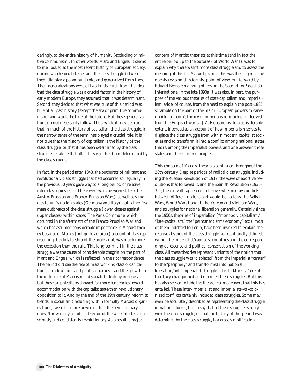daringly, to the entire history of humanity (excluding primitive communism). In other words, Marx and Engels, it seems to me, looked at the most recent history of European society, during which social classes and the class struggle between them did play a paramount role, and generalized from there. Their generalizations were of two kinds. First, from the idea that the class struggle was a crucial factor in the history of early modern Europe, they assumed that it was determinant. Second, they decided that what was true of this period was true of all past history (except the era of primitive communism), and would be true of the future. But these generalizations do not necessarily follow. Thus, while it may be true that in much of the history of capitalism the class struggle, in the narrow sense of the term, has played a crucial role, it is not true that the history of capitalism *is* the history of the class struggle, or that it has been *determined by* the class struggle, let alone that *all history* is or has been determined by the class struggle.

In fact, in the period after 1848, the outbursts of militant and revolutionary class struggle that had occurred so regularly in the previous 60 years gave way to a long period of relative inter-class quiescence. There were wars between states (the Austro-Prussian and Franco-Prussian Wars), as well as struggles to unify nation states (Germany and Italy), but rather few mass outbreaks of the class struggle (lower classes against upper classes) within states. The Paris Commune, which occurred in the aftermath of the Franco-Prussian War and which has assumed considerable importance in Marxist theory because of Marx's (not quite accurate) account of it as representing the dictatorship of the proletariat, was much more the exception than the rule. This long-term lull in the class struggle was the cause of considerable chagrin on the part of Marx and Engels, which is reflected in their correspondence. The period did see the rise of mass working class organizations—trade unions and political parties—and the growth in the influence of Marxism and socialist ideology in general, but these organizations showed far more tendencies toward accommodation with the capitalist state than revolutionary opposition to it. And by the end of the 19th century, reformist trends in socialism (including within formally Marxist organizations), were far more powerful than the revolutionary ones. Nor was any significant sector of the working class consciously and consistently revolutionary. As a result, a major

concern of Marxist theorists at this time (and in fact the entire period up to the outbreak of World War I), was to explain *why* there wasn't more class struggle and to assess the meaning of this for Marxist praxis. This was the origin of the openly revisionist, reformist point of view, put forward by Eduard Bernstein among others, in the Second (or Socialist) International in the late 1890s. It was also, in part, the purpose of the various theories of state capitalism and imperialism, aside, of course, from the need to explain the post-1885 scramble on the part of the major European powers to carve up Africa. Lenin's theory of imperialism (much of it derived from the English theorist, J. A. Hobson), is, to a considerable extent, intended as an account of how imperialism serves to *displace* the class struggle from within modern capitalist societies and to transform it into a conflict among national states, that is, among the imperialist powers, and one between those states and the colonized peoples.

This concern of Marxist theorists continued throughout the 20th century. Despite periods of radical class struggle, including the Russian Revolution of 1917, the wave of abortive revolutions that followed it, and the Spanish Revolution (1936- 39), these revolts appeared to be overwhelmed by conflicts between different nations and would-be nations: the Balkan Wars, World Wars I and II, the Korean and Vietnam Wars, and struggles for national liberation generally. Certainly since the 1950s, theories of imperialism ("monopoly capitalism," "late-capitalism," the "permanent arms economy," etc.), most of them indebted to Lenin, have been invoked to explain the relative absence of the class struggle, as traditionally defined, within the imperialist/capitalist countries and the corresponding quiescence and political conservatism of the working class. All these theories represent variants of the notion that the class struggle was "displaced" from the imperialist "center" to the "periphery" and transformed into national liberation/anti-imperialist struggles. It is to Marxists' credit that they championed and often led these struggles. But this has also served to hide the theoretical maneuvers that this has entailed. These inter-imperialist and imperialists-vs.-colonized conflicts certainly included class struggles. Some may even be accurately described as representing the class struggle in national forms, but to say that all these struggles simply *were* the class struggle, or that the history of this period was *determined* by the class struggle, is a gross simplification.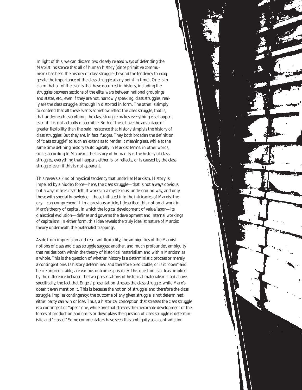In light of this, we can discern two closely related ways of defending the Marxist insistence that all of human history (since primitive communism) has been the history of class struggle (beyond the tendency to exaggerate the importance of the class struggle at any point in time). One is to claim that all of the events that have occurred in history, including the struggles between sections of the elite, wars between national groupings and states, etc., even if they are not, narrowly speaking, class struggles, really *are* the class struggle, although in distorted in form. The other is simply to contend that all these events somehow *reflect* the class struggle, that is, that underneath everything, the class struggle makes everything else happen, even if it is not actually discernible. Both of these have the advantage of greater flexibility than the bald insistence that history simply*is* the history of class struggles. But they are, in fact, fudges. They both broaden the definition of "class struggle" to such an extent as to render it meaningless, while at the same time defining history tautologically in Marxist terms: in other words, since, according to Marxism, the history of humanity is the history of class struggles, everything that happens either is, or reflects, or is caused by the class struggle, even if this is not apparent.

This reveals a kind of mystical tendency that underlies Marxism. History is impelled by a hidden force—here, the class struggle—that is not always obvious, but always makes itself felt. It works in a mysterious, underground way, and only those with special knowledge—those initiated into the intricacies of Marxist theory—can comprehend it. In a previous article, I described this notion at work in Marx's theory of capital, in which the logical development of value/labor—its dialectical evolution—defines and governs the development and internal workings of capitalism. In either form, this idea reveals the truly idealist nature of Marxist theory underneath the materialist trappings.

Aside from imprecision and resultant flexibility, the ambiguities of the Marxist notions of class and class struggle suggest another, and much profounder, ambiguity that resides both within the theory of historical materialism and within Marxism as a whole. This is the question of whether history is a deterministic process or merely a contingent one. Is history determined and therefore predictable, or is it "open" and hence unpredictable; are various outcomes possible? This question is at least implied by the difference between the two presentations of historical materialism cited above, specifically, the fact that Engels' presentation stresses the class struggle, while Marx's doesn't even mention it. This is because the notion of struggle, and therefore the class struggle, implies contingency; the outcome of any given struggle is not determined; either party can win or lose. Thus, a historical conception that stresses the class struggle is a contingent or "open" one, while one that stresses the inexorable development of the forces of production and omits or downplays the question of class struggle is deterministic and "closed." Some commentators have seen this ambiguity as a contradiction

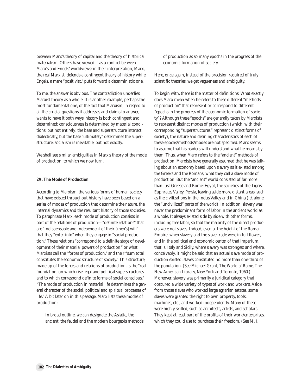between Marx's theory of capital and the theory of historical materialism. Others have viewed it as a conflict between Marx's and Engels' worldviews: in their interpretation, Marx, the real Marxist, defends a contingent theory of history while Engels, a mere "positivist," puts forward a deterministic one.

To me, the answer is obvious. The contradiction underlies Marxist theory as a whole. It is another example, perhaps the most fundamental one, of the fact that Marxism, in regard to all the crucial questions it addresses and claims to answer, wants to have it both ways: history is both contingent and determined; consciousness is determined by material conditions, but not entirely; the base and superstructure interact dialectically, but the base "ultimately" determines the superstructure; socialism is inevitable, but not exactly.

We shall see similar ambiguities in Marx's theory of the mode of production, to which we now turn.

#### **2A. The Mode of Production**

According to Marxism, the various forms of human society that have existed throughout history have been based on a series of modes of production that determine the nature, the internal dynamics and the resultant history of those societies. To paraphrase Marx, each mode of production consists in part of the relations of production—"definite relations" that are "indispensable and independent of their [men's] will" that they "enter into" when they engage in "social production." These relations "correspond to a definite stage of development of their material powers of production," or what Marxists call the "forces of production," and their "sum total constitutes the economic structure of society." This structure, made up of the forces and relations of production, is the "real foundation, on which rise legal and political superstructures and to which correspond definite forms of social conscious." "The mode of production in material life determines the general character of the social, political and spiritual processes of life." A bit later on in this passage, Marx lists these modes of production:

In broad outline, we can designate the Asiatic, the ancient, the feudal and the modern bourgeois methods of production as so many epochs in the progress of the economic formation of society.

Here, once again, instead of the precision required of truly scientific theories, we get vagueness and ambiguity.

To begin with, there is the matter of definitions. What exactly does Marx mean when he refers to these different "methods of production" that represent or correspond to different "epochs in the progress of the economic formation of society"? Although these "epochs" are generally taken by Marxists to represent distinct modes of production (which, with their corresponding "superstructures," represent distinct forms of society), the nature and defining characteristics of each of these epochs/methods/modes are not specified. Marx seems to assume that his readers will understand what he means by them. Thus, when Marx refers to the "ancient" methods of production, Marxists have generally assumed that he was talking about an economy based upon slavery as it existed among the Greeks and the Romans, what they call a slave mode of production. But the "ancient" world consisted of far more than just Greece and Rome: Egypt, the societies of the Tigris-Euphrates Valley, Persia, leaving aside more distant areas, such as the civilizations in the Indus Valley and in China (let alone the "uncivilized" parts of the world). In addition, slavery was never the predominant form of labor in the ancient world as a whole. It always existed side by side with other forms, including free labor, so that the majority of the direct producers were not slaves. Indeed, even at the height of the Roman Empire, when slavery and the slave trade were in full flower, and in the political and economic center of that imperium, that is, Italy and Sicily, where slavery was strongest and where, conceivably, it might be said that an actual slave mode of production existed, slaves constituted no more than one-third of the population. (See Michael Grant, *The World of Rome*, The New American Library, New York and Toronto, 1960.) Moreover, slavery was primarily a juridical category that obscured a wide variety of types of work and workers. Aside from those slaves who worked large agrarian estates, some slaves were granted the right to own property, tools, machines, etc., and worked independently. Many of these were highly skilled, such as architects, artists, and scholars. They kept at least part of the profits of their work/enterprises, which they could use to purchase their freedom. (See M. I.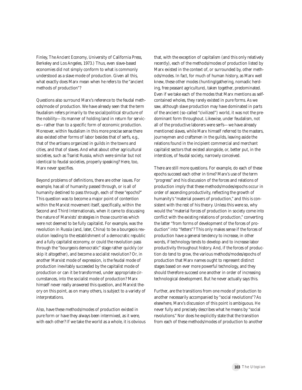Finley, *The Ancient Economy*, University of California Press, Berkeley and Los Angeles, 1973.) Thus, even slave-based economies did not simply conform to what is commonly understood as a slave mode of production. Given all this, what exactly does Marx mean when he refers to the "ancient methods of production"?

Questions also surround Marx's reference to the feudal methods/mode of production. We have already seen that the term feudalism refers primarily to the social/political structure of the nobility—its manner of holding land in return for services—rather than to a specific form of economic production. Moreover, within feudalism in this more precise sense there also existed other forms of labor besides that of serfs, e.g., that of the artisans organized in guilds in the towns and cities, and that of slaves. And what about other agricultural societies, such as Tsarist Russia, which were similar but not identical to feudal societies, properly speaking? Here, too, Marx never specifies.

Beyond problems of definitions, there are other issues. For example, has all of humanity passed through, or is all of humanity destined to pass through, each of these "epochs?" This question was to become a major point of contention within the Marxist movement itself, specifically, within the Second and Third Internationals, when it came to discussing the nature of Marxists' strategies in those countries which were not deemed to be fully capitalist. For example, was the revolution in Russia (and, later, China) to be a bourgeois revolution leading to the establishment of a democratic republic and a fully capitalist economy, or could the revolution pass through the "bourgeois democratic" stage rather quickly (or skip it altogether), and become a socialist revolution? Or, in another Marxist mode of expression, is the feudal mode of production inevitably succeeded by the capitalist mode of production or can it be transformed, under appropriate circumstances, into the socialist mode of production? Marx himself never really answered this question, and Marxist theory on this point, as on many others, is subject to a variety of interpretations.

Also, have these methods/modes of production existed in pure form or have they always been intermixed, as it were, with each other? If we take the world as a whole, it is obvious that, with the exception of capitalism (and this only relatively recently), each of the methods/modes of production listed by Marx existed in the context of, or surrounded by, other methods/modes. In fact, for much of human history, as Marx well knew, these other modes (hunting/gathering, nomadic herding, free peasant agriculture), taken together, predominated. Even if we take each of the modes that Marx mentions as selfcontained wholes, they rarely existed in pure forms. As we saw, although slave production may have dominated in parts of the ancient (so-called "civilized") world, it was not the predominant form throughout. Likewise, under feudalism, not all of the productive laborers were serfs—we have already mentioned slaves, while Marx himself referred to the masters, journeymen and craftsmen in the guilds, leaving aside the relations found in the incipient commercial and merchant capitalist sectors that existed alongside, or, better put, in the interstices, of feudal society, narrowly conceived.

There are still more questions. For example, do each of these epochs succeed each other in time? Marx's use of the term "progress" and his discussion of the forces and relations of production imply that these methods/modes/epochs occur in order of ascending productivity, reflecting the growth of humanity's "material powers of production," and this is consistent with the rest of his theory. Unless this were so, why would the "material forces of production in society come into conflict with the existing relations of production," converting the latter "from forms of development of the forces of production" into "fetters"? This only makes sense if the forces of production have a general tendency to increase, in other words, if technology tends to develop and to increase labor productivity throughout history. And, if the forces of production do tend to grow, the various methods/modes/epochs of production that Marx names ought to represent distinct stages based on ever more powerful technology, and they should therefore succeed one another in order of increasing technological development. But he never actually says this.

Further, are the transitions from one mode of production to another necessarily accompanied by "social revolutions"? As elsewhere, Marx's discussion of this point is ambiguous. He never fully and precisely describes what he means by "social revolutions." Nor does he explicitly state that the transition from each of these methods/modes of production to another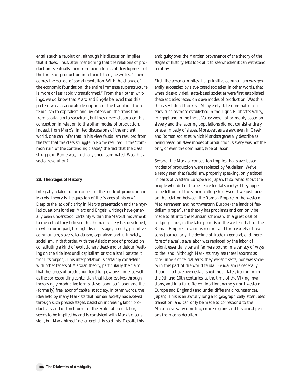entails such a revolution, although his discussion implies that it does. Thus, after mentioning that the relations of production eventually turn from being forms of development of the forces of production into their fetters, he writes, "Then comes the period of social revolution. With the change of the economic foundation, the entire immense superstructure is more or less rapidly transformed." From their other writings, we do know that Marx and Engels believed that this pattern was an accurate description of the transition from feudalism to capitalism and, by extension, the transition from capitalism to socialism, but they never elaborated this conception in relation to the other modes of production. Indeed, from Marx's limited discussions of the ancient world, one can infer that in his view feudalism resulted from the fact that the class struggle in Rome resulted in the "common ruin of the contending classes," the fact that the class struggle in Rome was, in effect, unconsummated. Was this a social revolution?

#### **2B. The Stages of History**

Integrally related to the concept of the mode of production in Marxist theory is the question of the "stages of history." Despite the lack of clarity in Marx's presentation and the myriad questions it raises, Marx and Engels' writings have generally been understood, certainly within the Marxist movement, to mean that they believed that human society has developed, in whole or in part, through distinct stages, namely, primitive communism, slavery, feudalism, capitalism and, ultimately, socialism, in that order, with the Asiatic mode of production constituting a kind of evolutionary dead-end or detour (waiting on the sidelines until capitalism or socialism liberates it from its torpor). This interpretation is certainly consistent with other tenets of Marxian theory, particularly the claim that the forces of production tend to grow over time, as well as the corresponding contention that labor evolves through increasingly productive forms: slave-labor, serf-labor and the (formally) free labor of capitalist society. In other words, the idea held by many Marxists that human society has evolved through such precise stages, based on increasing labor productivity and distinct forms of the exploitation of labor, seems to be implied by and is consistent with Marx's discussion, but Marx himself never explicitly said this. Despite this

ambiguity over the Marxian provenance of the theory of the stages of history, let's look at it to see whether it can withstand scrutiny.

First, the schema implies that primitive communism was generally succeeded by slave-based societies; in other words, that when class-divided, state-based societies were first established, these societies rested on slave modes of production. Was this the case? I don't think so. Many early state-dominated societies, such as those established in the Tigris-Euphrates Valley, in Egypt and in the Indus Valley were not primarily based on slavery and the laboring populations did not consist entirely or even mostly of slaves. Moreover, as we saw, even in Greek and Roman societies, which Marxists generally describe as being based on slave modes of production, slavery was not the only, or even the dominant, type of labor.

Second, the Marxist conception implies that slave-based modes of production were replaced by feudalism. We've already seen that feudalism, properly speaking, only existed in parts of Western Europe and Japan. If so, what about the people who did not experience feudal society? They appear to be left out of the schema altogether. Even if we just focus on the relation between the Roman Empire in the western Mediterranean and northwestern Europe (the lands of feudalism proper), the theory has problems and can only be made to fit into the Marxian schema with a great deal of fudging. Thus, in the later periods of the western half of the Roman Empire, in various regions and for a variety of reasons (particularly the decline of trade in general, and therefore of slaves), slave labor was replaced by the labor of coloni, essentially tenant farmers bound in a variety of ways to the land. Although Marxists may see these laborers as forerunners of feudal serfs, they weren't serfs; nor was society in this part of the world feudal. Feudalism is generally thought to have been established much later, beginning in the 9th and 10th centuries, at the time of the Viking invasions, and in a far different location, namely northwestern Europe and England (and under different circumstances, Japan). This is an awfully long and geographically attenuated transition, and can only be made to correspond to the Marxian view by omitting entire regions and historical periods from consideration.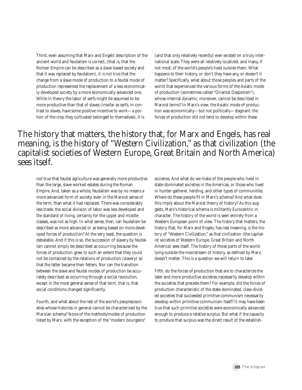Third, even assuming that Marx and Engels' description of the ancient world and feudalism is correct, (that is, that the Roman Empire can be described as a slave-based society and that it was replaced by feudalism), it is not true that the change from a slave mode of production to a feudal mode of production represented the replacement of a less economically developed society by a more economically advanced one. While in theory the labor of serfs might be assumed to be more productive than that of slaves (insofar as serfs, in contrast to slaves, have some positive incentive to work—a portion of the crop they cultivated belonged to themselves), it is

(and that only relatively recently) ever existed on a truly international scale. They were all relatively localized, and many, if not most, of the world's people's lived outside them. What happens to their history, or don't they have any, or doesn't it matter? Specifically, what about those peoples and parts of the world that experienced the various forms of the Asiatic mode of production (sometimes called "Oriental Despotism"), whose internal dynamic, moreover, cannot be described in Marxist terms? In Marx's view, the Asiatic mode of production was economically—but not politically—stagnant: the forces of production did not tend to develop within these

## The history that matters, the history that, for Marx and Engels, has real meaning, is the history of "Western Civilization," as that civilization (the capitalist societies of Western Europe, Great Britain and North America) sees itself.

not true that feudal agriculture was generally more productive than the large, slave-worked estates during the Roman Empire. And, taken as a whole, feudalism was by no means a more advanced form of society, even in the Marxist sense of the term, than what it had replaced. There was considerably less trade, the social division of labor was less developed and the standard of living, certainly for the upper and middle classes, was not as high. In what sense, then, can feudalism be described as more advanced or as being based on more developed forces of production? At the very least, the question is debatable. And if this is so, the succession of slavery by feudalism cannot simply be described as occurring because the forces of production grew to such an extent that they could not be contained by the relations of production (slavery) so that the latter became their fetters. Nor can the transition between the slave and feudal modes of production be accurately described as occurring through a social revolution, except in the most general sense of that term, that is, that social conditions changed significantly.

Fourth, and what about the rest of the world's peoples/societies whose histories in general cannot be characterized by the Marxian schema? None of the methods/modes of production listed by Marx, with the exception of the "modern bourgeois"

societies. And what do we make of the people who lived in state-dominated societies in the Americas, or those who lived in hunter-gatherer, herding, and other types of communities. Where do these people fit in Marx's schema? And what does this imply about the Marxist theory of history? As this suggests, Marx's historical schema is militantly Eurocentric in character. The history of the world is seen entirely from a Western European point of view. The history that matters, the history that, for Marx and Engels, has real meaning, is the history of "Western Civilization," as that civilization (the capitalist societies of Western Europe, Great Britain and North America) sees itself. The history of those parts of the world lying outside the mainstream of history, as defined by Marx, doesn't matter. This is a question we will return to later.

Fifth, do the forces of production that are to characterize the later and more productive societies necessarily develop within the societies that precede them? For example, did the forces of production characteristic of the state-dominated, class-divided societies that succeeded primitive communism necessarily develop within primitive communism itself? It may have been true that such primitive societies were economically advanced enough to produce a relative surplus. But what if the capacity to produce that surplus was the direct result of the establish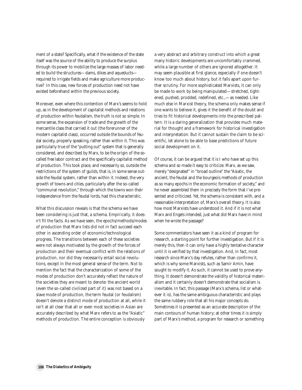ment of a state? Specifically, what if the existence of the state itself was the source of the ability to produce the surplus through its power to mobilize the large masses of labor needed to build the structures—dams, dikes and aqueducts required to irrigate fields and make agriculture more productive? In this case, new forces of production need not have existed beforehand within the previous society.

Moreover, even where this contention of Marx's seems to hold up, as in the development of capitalist methods and relations of production within feudalism, the truth is not so simple. In some sense, the expansion of trade and the growth of the mercantile class that carried it out (the forerunner of the modern capitalist class), occurred outside the bounds of feudal society, properly speaking, rather than within it. This was particularly true of the "putting out" system that is generally considered, and described by Marx, to be the origin of the socalled free labor contract and the specifically capitalist method of production. This took place, and necessarily so, outside the restrictions of the system of guilds, that is, in some sense outside the feudal system, rather than within it. Indeed, the very growth of towns and cities, particularly after the so-called "communal revolution," through which the towns won their independence from the feudal lords, had this characteristic.

What this discussion reveals is that the schema we have been considering is just that, a schema. Empirically, it doesn't fit the facts. As we have seen, the epochs/methods/modes of production that Marx lists did not in fact succeed each other in ascending order of economic/technological progress. The transitions between each of these societies were not always motivated by the growth of the forces of production and their eventual conflict with the relations of production, nor did they necessarily entail social revolutions, except in the most general sense of the term. Not to mention the fact that the characterization of some of the modes of production don't accurately reflect the nature of the societies they are meant to denote: the ancient world (even the so-called civilized part of it) was not based on a slave mode of production, the term feudal (or feudalism) doesn't denote a distinct mode of production at all, while it isn't at all clear that all or even most societies in Asian are accurately described by what Marx refers to as the "Asiatic" methods of production. The entire conception is obviously

a very abstract and arbitrary construct into which a great many historic developments are uncomfortably crammed, while a large number of others are ignored altogether. It may seem plausible at first glance, especially if one doesn't know too much about history, but it falls apart upon further scrutiny. For more sophisticated Marxists, it can only be made to work by being manipulated—stretched, tightened, pushed, prodded, redefined, etc.,—as needed. Like much else in Marxist theory, the schema only makes sense if one wants to believe it, gives it the benefit of the doubt and tries to fit historical developments into the prescribed pattern. It is a daring generalization that provides much material for thought and a framework for historical investigation and interpretation. But it cannot sustain the claim to be scientific, let alone to be able to base predictions of future social development on it.

Of course, it can be argued that it is I who have set up this schema and so made it easy to criticize. Marx, as we saw, merely "designated" in "broad outline" the "Asiatic, the ancient, the feudal and the bourgeois methods of production as so many epochs in the economic formation of society," and he never assembled them in precisely the form that I've presented and criticized. Yet, the schema is consistent with, and a reasonable interpretation of, Marx's overall theory. It is also how most Marxists have understood it. And if it is not what Marx and Engels intended, just what did Marx have in mind when he wrote the passage?

Some commentators have seen it as a kind of program for research, a starting point for further investigation. But if it is merely this, then it can only have a highly tentative character until it is verified by that investigation. And, in fact, most research since Marx's day refutes, rather than confirms it, which is why some Marxists, such as Samir Amin, have sought to modify it. As such, it cannot be used to prove anything. It doesn't demonstrate the validity of historical materialism and it certainly doesn't demonstrate that socialism is inevitable. In fact, this passage (Marx's schema, list or whatever it is), has the same ambiguous characteristic and plays the same rubbery role that all his major concepts do. Sometimes it is presented as an accurate description of the main contours of human history; at other times it is simply part of Marx's method, a program for research or something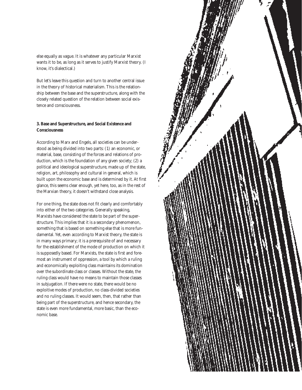else equally as vague. It is whatever any particular Marxist wants it to be, as long as it serves to justify Marxist theory. (I know, it's dialectical.)

But let's leave this question and turn to another central issue in the theory of historical materialism. This is the relationship between the base and the superstructure, along with the closely related question of the relation between social existence and consciousness.

#### **3. Base and Superstructure, and Social Existence and Consciousness**

According to Marx and Engels, all societies can be understood as being divided into two parts: (1) an economic, or material, base, consisting of the forces and relations of production, which is the foundation of any given society; (2) a political and ideological superstructure, made up of the state, religion, art, philosophy and cultural in general, which is built upon the economic base and is determined by it. At first glance, this seems clear enough, yet here, too, as in the rest of the Marxian theory, it doesn't withstand close analysis.

For one thing, the state does not fit clearly and comfortably into either of the two categories. Generally speaking, Marxists have considered the state to be part of the superstructure. This implies that it is a secondary phenomenon, something that is based on something else that is more fundamental. Yet, even according to Marxist theory, the state is in many ways primary; it is a prerequisite of and necessary for the establishment of the mode of production on which it is supposedly based. For Marxists, the state is first and foremost an instrument of oppression, a tool by which a ruling and economically exploiting class maintains its domination over the subordinate class or classes. Without the state, the ruling class would have no means to maintain those classes in subjugation. If there were no state, there would be no exploitive modes of production, no class-divided societies and no ruling classes. It would seem, then, that rather than being part of the superstructure, and hence secondary, the state is even more fundamental, more basic, than the economic base.

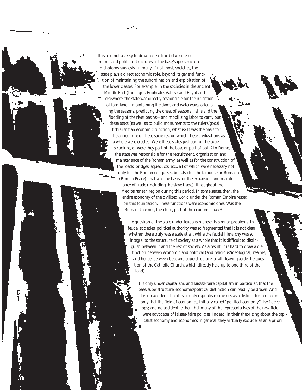It is also not as easy to draw a clear line between economic and political structures as the base/superstructure dichotomy suggests. In many, if not most, societies, the state plays a direct economic role, beyond its general function of maintaining the subordination and exploitation of the lower classes. For example, in the societies in the ancient Middle East (the Tigris-Euphrates Valley) and Egypt and elsewhere, the state was directly responsible for the irrigation of farmland—maintaining the dams and waterways, calculating the seasons, predicting the onset of seasonal rains and the flooding of the river basins—and mobilizing labor to carry out these tasks (as well as to build monuments to the rulers/gods). If this isn't an economic function, what is? It was the basis for the agriculture of these societies, on which these civilizations as a whole were erected. Were these states just part of the superstructure, or were they part of the base or part of both? In Rome, the state was responsible for the recruitment, organization and maintenance of the Roman army, as well as for the construction of the roads, bridges, aqueducts, etc., all of which were necessary not only for the Roman conquests, but also for the famous Pax Romana (Roman Peace), that was the basis for the expansion and maintenance of trade (including the slave trade), throughout the Mediterranean region during this period. In some sense, then, the entire economy of the civilized world under the Roman Empire rested on this foundation. These functions were economic ones. Was the Roman state not, therefore, part of the economic base?

> The question of the state under feudalism presents similar problems. In feudal societies, political authority was so fragmented that it is not clear whether there truly was a state at all, while the feudal hierarchy was so integral to the structure of society as a whole that it is difficult to distinguish between it and the rest of society. As a result, it is hard to draw a distinction between economic and political (and religious/ideological) realms, and hence, between base and superstructure, at all (leaving aside the question of the Catholic Church, which directly held up to one-third of the land).

It is only under capitalism, and laissez-faire capitalism in particular, that the base/superstructure, economic/political distinction can readily be drawn. And it is no accident that it is as only capitalism emerges as a distinct form of economy that the field of economics, initially called "political economy," itself develops; and no accident, either, that many of the representatives of the new field were advocates of laissez-faire policies. Indeed, in their theorizing about the capitalist economy and economics in general, they virtually exclude, as an a priori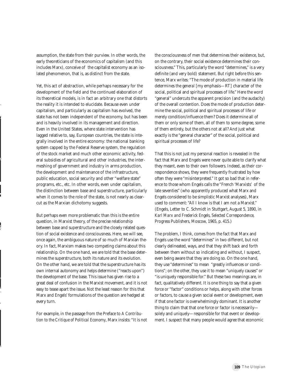assumption, the state from their purview. In other words, the early theoreticians of the economics of capitalism (and this includes Marx), conceive of the capitalist economy as an isolated phenomenon, that is, as distinct from the state.

Yet, this act of abstraction, while perhaps necessary for the development of the field and the continued elaboration of its theoretical models, is in fact an arbitrary one that distorts the reality it is intended to elucidate. Because even under capitalism, and particularly as capitalism has evolved, the state has not been independent of the economy, but has been and is heavily involved in its management and direction. Even in the United States, where state intervention has lagged relative to, say, European countries, the state is integrally involved in the entire economy: the national banking system capped by the Federal Reserve system, the regulation of the stock market and much other economic activity, federal subsidies of agricultural and other industries, the intermeshing of government and industry in arms production, the development and maintenance of the infrastructure, public education, social security and other "welfare state" programs, etc., etc. In other words, even under capitalism, the distinction between base and superstructure, particularly when it comes to the role of the state, is not nearly as clearcut as the Marxian dichotomy suggests.

But perhaps even more problematic than this is the entire question, in Marxist theory, of the precise relationship between base and superstructure and the closely related question of social existence and consciousness. Here, we will see, once again, the ambiguous nature of so much of Marxian theory. In fact, Marxism makes two competing claims about this relationship. On the one hand, we are told that the base determines the superstructure, both its nature and its evolution. On the other hand, we are told that the superstructure has its own internal autonomy and helps determine ("reacts upon") the development of the base. This issue has given rise to a great deal of confusion in the Marxist movement, and it is not easy to tease apart the issue. Not the least reason for this that Marx and Engels' formulations of the question are hedged at every turn.

For example, in the passage from the Preface to *A Contribution to the Critique of Political Economy*, Marx insists: "It is not

the consciousness of men that determines their existence, but, on the contrary, their social existence determines their consciousness." This, particularly the word "determines," is a very definite (and very bold) statement. But right before this sentence, Marx writes: "The mode of production in material life determines the *general* [my emphasis—RT] character of the social, political and spiritual processes of life." Here the word "general" undercuts the apparent precision (and the audacity) of the overall contention. Does the mode of production determine the social, political and spiritual processes of life or merely condition/influence them? Does it determine all of them or only some of them, all of them to some degree, some of them entirely, but the others not at all? And just what exactly is the "general character" of the social, political and spiritual processes of life?

That this is not just my personal reaction is revealed in the fact that Marx and Engels were never quite able to clarify what they meant, even to their own followers. Indeed, as their correspondence shows, they were frequently frustrated by how often they were "misinterpreted." It got so bad that in reference to those whom Engels calls the "French 'Marxists' of the late seventies" (who apparently produced what Marx and Engels considered to be simplistic Marxist analyses), Marx used to comment: "All I know is that I am not a Marxist." (Engels, Letter to C. Schmidt in Stuttgart, August 5, 1890, in *Karl Marx and Frederick Engels, Selected Correspondence*, Progress Publishers, Moscow, 1965, p. 415.)

The problem, I think, comes from the fact that Marx and Engels use the word "determines" in two different, but not clearly delineated, ways, and that they shift back and forth between them without so indicating and without, I suspect, even being aware that they are doing so. On the one hand, they use "determines" to mean "greatly influences or conditions"; on the other, they use it to mean "uniquely causes" or "is uniquely responsible for." But these two meanings are, in fact, qualitatively different. It is one thing to say that a given force or "factor" conditions or helps, along with other forces or factors, to cause a given social event or development, even if that one factor is overwhelmingly dominant. It is another thing to claim that that one force or factor is necessarily solely and uniquely—responsible for that event or development. I suspect that many people would agree that economic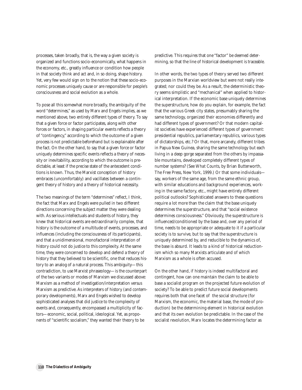processes, taken broadly, that is, the way a given society is organized and functions socio-economically, what happens in the economy, etc., greatly influence or condition how people in that society think and act and, in so doing, shape history. Yet, very few would sign on to the notion that these socio-economic processes uniquely cause or are responsible for people's consciousness and social evolution as a whole.

To pose all this somewhat more broadly, the ambiguity of the word "determines," as used by Marx and Engels implies, as we mentioned above, two entirely different types of theory. To say that a given force or factor participates, along with other forces or factors, in shaping particular events reflects a theory of "contingency," according to which the outcome of a given process is not predictable beforehand but is explainable after the fact. On the other hand, to say that a given force or factor uniquely determines specific events reflects a theory of necessity or inevitability, according to which the outcome is predictable, at least if the precise state of the antecedent conditions is known. Thus, the Marxist conception of history embraces (uncomfortably) and vacillates between a contingent theory of history and a theory of historical necessity.

The two meanings of the term "determines" reflect, I think, the fact that Marx and Engels were pulled in two different directions concerning the subject matter they were dealing with. As serious intellectuals and students of history, they knew that historical events are extraordinarily complex, that history is the outcome of a multitude of events, processes, and influences (including the consciousness of its participants), and that a unidimensional, monofactoral interpretation of history could not do justice to this complexity. At the same time, they were concerned to develop and defend a theory of history that they believed to be scientific, one that reduces history to an analog of a natural process. This ambiguity—this contradiction, to use Marxist phraseology—is the counterpart of the two variants or modes of Marxism we discussed above: Marxism as a method of investigation/interpretation versus Marxism as predictive. As interpreters of history (and contemporary developments), Marx and Engels wished to develop sophisticated analyses that did justice to the complexity of events and, consequently, encompassed a multiplicity of factors—economic, social, political, ideological. Yet, as proponents of "scientific socialism," they wanted their theory to be

predictive. This requires that one "factor" be deemed determining, so that the line of historical development is traceable.

In other words, the two types of theory served two different purposes in the Marxian worldview but were not really integrated; nor could they be. As a result, the deterministic theory seems simplistic and "mechanical" when applied to historical interpretation. If the economic base uniquely determines the superstructure, how do you explain, for example, the fact that the various Greek city states, presumably sharing the same technology, organized their economies differently and had different types of government? Or that modern capitalist societies have experienced different types of government: presidential republics, parliamentary republics, various types of dictatorships, etc.? Or that, more arcanely, different tribes in Papua New Guinea, sharing the same technology but each living in a deep gorge separated from the others by impassable mountains, developed completely different types of number systems? (See *What Counts*, by Brian Butterworth, The Free Press, New York, 1999.) Or that some individuals say, workers of the same age, from the same ethnic group, with similar educations and background experiences, working in the same factory, etc., might have entirely different political outlooks? Sophisticated answers to these questions require a lot more than the claim that the base uniquely determines the superstructure, and that "social existence determines consciousness." Obviously, the superstructure is influenced/conditioned by the base and, over any period of time, needs to be appropriate or adequate to it if a particular society is to survive, but to say that the superstructure is uniquely determined by, and reducible to the dynamics of, the base is absurd. It leads to a kind of historical reductionism which so many Marxists articulate and of which Marxism as a whole is often accused.

On the other hand, if history is indeed multifactoral and contingent, how can one maintain the claim to be able to base a socialist program on the projected future evolution of society? To be able to predict future social developments requires both that one facet of the social structure (for Marxism, the economic, the material base, the mode of production) be the determining element in historical evolution and that its own evolution be predictable. In the case of the socialist revolution, Marx locates the determining factor as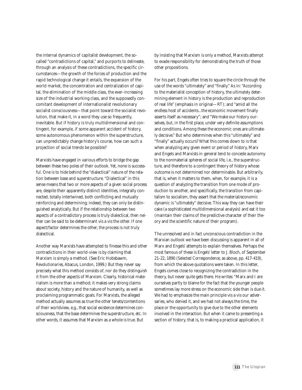the internal dynamics of capitalist development, the socalled "contradictions of capital," and purports to delineate, through an analysis of these contradictions, the specific circumstances—the growth of the forces of production and the rapid technological change it entails, the expansion of the world market, the concentration and centralization of capital, the elimination of the middle class, the ever-increasing size of the industrial working class, and the supposedly concomitant development of internationalist revolutionary socialist consciousness—that point toward the socialist revolution, that make it, in a word they use so frequently, inevitable. But if history is truly multidimensional and contingent, for example, if some apparent accident of history, some autonomous phenomenon within the superstructure, can unpredictably change history's course, how can such a projection of social trends be possible?

Marxists have engaged in various efforts to bridge the gap between these two poles of their outlook. Yet, none is successful. One is to hide behind the "dialectical" nature of the relation between base and superstructure. "Dialectical" in this sense means that two or more aspects of a given social process are, despite their apparently distinct identities, integrally connected, totally intertwined, both conflicting and mutually reinforcing and determining; indeed, they can only be distinguished analytically. But if the relationship between two aspects of a contradictory process is truly dialectical, then neither can be said to be determinant vis a vis the other. If one aspect/factor determines the other, the process is not truly dialectical.

Another way Marxists have attempted to finesse this and other contradictions in their world-view is by claiming that Marxism is simply a method. (See Eric Hobsbawm, *Revolutionaries*, Abacus, London, 1999.) But they never say precisely what this method consists of, nor do they distinguish it from the other aspects of Marxism. Clearly, historical materialism is more than a method; it makes very strong claims about society, history and the nature of humanity, as well as proclaiming programmatic goals. For Marxists, the alleged method actually assumes as true the other tenets/contentions of their worldview, e.g., that social existence determines consciousness, that the base determines the superstructure, etc. In other words, it assumes that Marxism as a whole is true. But

by insisting that Marxism is only a method, Marxists attempt to evade responsibility for demonstrating the truth of those other propositions.

For his part, Engels often tries to square the circle through the use of the words "ultimately" and "finally." As in: "According to the materialist conception of history, the *ultimately* determining element in history is the production and reproduction of real life" (emphasis in original—RT); and "amid all the endless host of accidents...the economic movement finally asserts itself as necessary"; and "We make our history ourselves, but, in the first place, under very definite assumptions and conditions. Among these the economic ones are ultimately decisive." But who determines when this "ultimately" and "finally" actually occurs? What this comes down to is that when analyzing any given event or period of history, Marx and Engels and Marxists in general tend to concede autonomy to the nonmaterial spheres of social life, i.e., the superstructure, and therefore to a contingent theory of history whose outcome is not determined nor determinable. But arbitrarily, that is, when it matters to them, when, for example, it is a question of analyzing the transition from one mode of production to another, and specifically, the transition from capitalism to socialism, they assert that the material/economic dynamic is "ultimately" decisive. This way they can have their cake (a sophisticated multidimensional analysis) and eat it too (maintain their claims of the predictive character of their theory and the scientific nature of their program).

The unresolved and in fact unconscious contradiction in the Marxian outlook we have been discussing is apparent in all of Marx and Engels' attempts to explain themselves. Perhaps the most famous of these is Engels' letter to J. Bloch, of September 21-22, 1890 (*Selected Correspondence*, as above, pp. 417-419), from which the above quotations were taken. In this letter, Engels comes close to recognizing the contradiction in the theory, but never quite gets there. He writes: "Marx and I are ourselves partly to blame for the fact that the younger people sometimes lay more stress on the economic side than is due it. We had to emphasize the main principle vis a vis our adversaries, who denied it, and we had not always the time, the place or the opportunity to give due to the other elements involved in the interaction. But when it came to presenting a section of history, that is, to making a practical application, it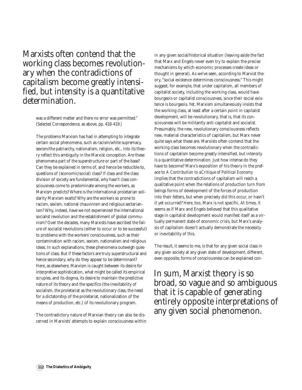Marxists often contend that the working class becomes revolutionary when the contradictions of capitalism become greatly intensified, but intensity is a quantitative determination.

> was a different matter and there no error was permitted." (*Selected Correspondence*, as above, pp. 418-419.)

The problems Marxism has had in attempting to integrate certain social phenomena, such as racism/white supremacy, sexism/the patriarchy, nationalism, religion, etc., into its theory reflect this ambiguity in the Marxist conception. Are these phenomena part of the superstructure or part of the base? Can they be explained in terms of, and hence be reducible to, questions of (economic/social) class? If class and the class division of society are fundamental, why hasn't class consciousness come to predominate among the workers, as Marxism predicts? Where is the international proletarian solidarity Marxism exalts? Why are the workers so prone to racism, sexism, national chauvinism and religious sectarianism? Why, indeed, have we not experienced the international socialist revolution and the establishment of global communism? Over the decades, many Marxists have ascribed the failure of socialist revolutions (either to occur or to be successful) to problems with the workers' consciousness, such as their contamination with racism, sexism, nationalism and religious ideas. In such explanations, these phenomena outweigh questions of class. But if these factors are truly superstructural and hence secondary, why do they appear to be determinant? Here, as elsewhere, Marxism is caught between its desire for interpretive sophistication, what might be called its empirical scruples, and its dogma, its desire to maintain the predictive nature of its theory and the specifics (the inevitability of socialism, the proletariat as the revolutionary class, the need for a dictatorship of the proletariat, nationalization of the means of production, etc.) of its revolutionary program.

The contradictory nature of Marxian theory can also be discerned in Marxists' attempts to explain consciousness within in any given social/historical situation (leaving aside the fact that Marx and Engels never even try to explain the precise mechanisms by which economic processes create ideas or thought in general). As we've seen, according to Marxist theory, "social existence determines consciousness." This might suggest, for example, that under capitalism, all members of capitalist society, including the working class, would have bourgeois or capitalist consciousness, since their social existence is bourgeois. Yet, Marxism simultaneously insists that the working class, at least after a certain point in capitalist development, will be revolutionary, that is, that its consciousness will be militantly anti-capitalist and socialist. Presumably, the new, revolutionary consciousness reflects new, material characteristics of capitalism, but Marx never quite says what these are. Marxists often contend that the working class becomes revolutionary when the contradictions of capitalism become greatly intensified, but intensity is a quantitative determination. Just how intense do they have to become? Marx's exposition of his theory in the preface to *A Contribution to aCritique of Political Economy* implies that the contradictions of capitalism will reach a qualitative point when the relations of production turn from beings forms of development of the forces of production into their fetters, but when precisely did this occur, or hasn't it yet occurred? Here, too, Marx is not specific. At times, it seems as if Marx and Engels believed that this qualitative stage in capitalist development would manifest itself as a virtually permanent state of economic crisis, but Marx's analysis of capitalism doesn't actually demonstrate the necessity or inevitability of this.

The result, it seems to me, is that for any given social class in any given society at any given state of development, different, even opposite, forms of consciousness can be explained con-

In sum, Marxist theory is so broad, so vague and so ambiguous that it is capable of generating entirely opposite interpretations of any given social phenomenon.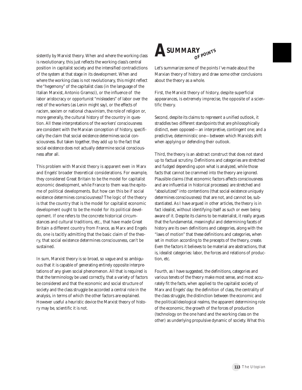sistently by Marxist theory. When and where the working class is revolutionary, this just reflects the working class's central position in capitalist society and the intensified contradictions of the system at that stage in its development. When and where the working class is not revolutionary, this might reflect the "hegemony" of the capitalist class (in the language of the Italian Marxist, Antonio Gramsci), or the influence of the labor aristocracy or opportunist "misleaders" of labor over the rest of the workers (as Lenin might say), or the effects of racism, sexism or national chauvinism, the role of religion or, more generally, the cultural history of the country in question. All these interpretations of the workers' consciousness are consistent with the Marxian conception of history, specifically the claim that social existence determines social consciousness. But taken together, they add up to the fact that social existence does not actually determine social consciousness after all.

This problem with Marxist theory is apparent even in Marx and Engels' broader theoretical considerations. For example, they considered Great Britain to be the model for capitalist economic development, while France to them was the epitome of political developments. But how can this be if social existence determines consciousness? The logic of the theory is that the country that is the model for capitalist economic development ought to be the model for its political development. If one refers to the concrete historical circumstances and cultural traditions, etc., that have made Great Britain a different country from France, as Marx and Engels do, one is tacitly admitting that the basic claim of the theory, that social existence determines consciousness, can't be sustained.

In sum, Marxist theory is so broad, so vague and so ambiguous that it is capable of generating entirely opposite interpretations of any given social phenomenon. All that is required is that the terminology be used correctly, that a variety of factors be considered and that the economic and social structure of society and the class struggle be accorded a central role in the analysis, in terms of which the other factors are explained. However useful a heuristic device the Marxist theory of history may be, scientific it is not.



Let's summarize some of the points I've made about the Marxian theory of history and draw some other conclusions about the theory as a whole.

First, the Marxist theory of history, despite superficial appearances, is extremely imprecise, the opposite of a scientific theory.

Second, despite its claims to represent a unified outlook, it straddles two different standpoints that are philosophically distinct, even opposed—an interpretive, contingent one; and a predictive, deterministic one—between which Marxists shift when applying or defending their outlook.

Third, the theory is an abstract construct that does not stand up to factual scrutiny. Definitions and categories are stretched and fudged depending upon what is analyzed, while those facts that cannot be crammed into the theory are ignored. Plausible claims (that economic factors affects consciousness and are influential in historical processes) are stretched and "absolutized" into contentions (that social existence uniquely determines consciousness) that are not, and cannot be, substantiated. As I have argued in other articles, the theory is in fact idealist, without identifying itself as such or even being aware of it. Despite its claims to be materialist, it really argues that the fundamental, meaningful and determining facets of history are its own definitions and categories, along with the "laws of motion" that these definitions and categories, when set in motion according to the precepts of the theory, create. Even the factors it believes to be material are abstractions, that is, idealist categories: labor, the forces and relations of production, etc.

Fourth, as I have suggested, the definitions, categories and various tenets of the theory make most sense, and most accurately fit the facts, when applied to the capitalist society of Marx and Engels' day: the definition of class, the centrality of the class struggle, the distinction between the economic and the political/ideological realms, the apparent determining role of the economic, the growth of the forces of production (technology on the one hand and the working class on the other) as underlying propulsive dynamic of society. What this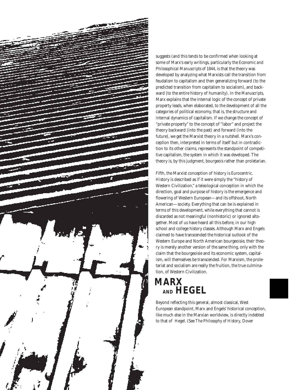

suggests (and this tends to be confirmed when looking at some of Marx's early writings, particularly the *Economic and Philosophical Manuscripts of 1844*, is that the theory was developed by analyzing what Marxists call the transition from feudalism to capitalism and then generalizing forward (to the predicted transition from capitalism to socialism), and backward (to the entire history of humanity). In the *Manuscripts*, Marx explains that the internal logic of the concept of private property leads, when elaborated, to the development of all the categories of political economy, that is, the structure and internal dynamics of capitalism. If we change the concept of "private property" to the concept of "labor" and project the theory backward (into the past) and forward (into the future), we get the Marxist theory in a nutshell. Marx's conception then, interpreted in terms of itself but in contradiction to its other claims, represents the standpoint of competitive capitalism, the system in which it was developed. The theory is, by this judgment, bourgeois rather than proletarian.

Fifth, the Marxist conception of history is Eurocentric. History is described as if it were simply the "history of Western Civilization," a teleological conception in which the direction, goal and purpose of history is the emergence and flowering of Western European—and its offshoot, North American—society. Everything that can be is explained in terms of this development, while everything that cannot is discarded as not meaningful (nonhistoric) or ignored altogether. Most of us have heard all this before, in our high school and college history classes. Although Marx and Engels claimed to have transcended the historical outlook of the Western Europe and North American bourgeoisie, their theory is merely another version of the same thing, only with the claim that the bourgeoisie and its economic system, capitalism, will themselves be transcended. For Marxism, the proletariat and socialism are really the fruition, the true culmination, of Western Civilization.

# **Marx and Hegel AND HEGELMARX**

Beyond reflecting this general, almost classical, West European standpoint, Marx and Engels' historical conception, like much else in the Marxian worldview, is directly indebted to that of Hegel. (See *The Philosophy of History*, Dover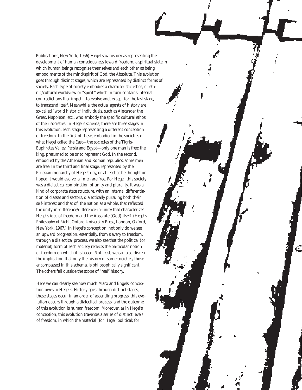Publications, New York, 1956) Hegel saw history as representing the development of human consciousness toward freedom, a spiritual state in which human beings recognize themselves and each other as being embodiments of the mind/spirit of God, the Absolute. This evolution goes through distinct stages, which are represented by distinct forms of society. Each type of society embodies a characteristic ethos, or ethnic/cultural worldview or "spirit," which in turn contains internal contradictions that impel it to evolve and, except for the last stage, to transcend itself. Meanwhile, the actual agents of history are so-called "world historic" individuals, such as Alexander the Great, Napoleon, etc., who embody the specific cultural ethos of their societies. In Hegel's schema, there are three stages in this evolution, each stage representing a different conception of freedom. In the first of these, embodied in the societies of what Hegel called the East—the societies of the Tigris-Euphrates Valley, Persia and Egypt—only one man is free: the king, presumed to be or to represent God. In the second, embodied by the Athenian and Roman republics, some men are free. In the third and final stage, represented by the Prussian monarchy of Hegel's day, or at least as he thought or hoped it would evolve, all men are free. For Hegel, this society was a dialectical combination of unity and plurality. It was a kind of corporate state structure, with an internal differentiation of classes and sectors, dialectically pursuing both their self-interest and that of the nation as a whole, that reflected the unity-in-difference/difference-in-unity that characterizes Hegel's idea of freedom and the Absolute (God) itself. (*Hegel's Philosophy of Right*, Oxford University Press, London, Oxford, New York, 1967.) In Hegel's conception, not only do we see an upward progression, essentially, from slavery to freedom, through a dialectical process, we also see that the political (or material) form of each society reflects the particular notion of freedom on which it is based. Not least, we can also discern the implication that only the history of some societies, those encompassed in this schema, is philosophically significant. The others fall outside the scope of "real" history.

Here we can clearly see how much Marx and Engels' conception owes to Hegel's. History goes through distinct stages, these stages occur in an order of ascending progress, this evolution occurs through a dialectical process, and the outcome of this evolution is human freedom. Moreover, as in Hegel's conception, this evolution traverses a series of distinct levels of freedom, in which the material (for Hegel, political; for

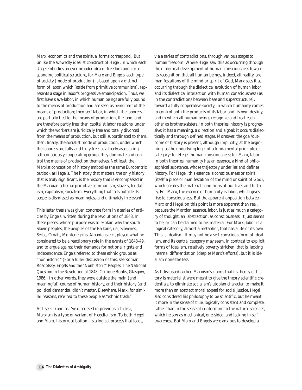Marx, economic) and the spiritual forms correspond. But unlike the avowedly idealist construct of Hegel, in which each stage embodies an ever broader *idea* of freedom and corresponding political structure, for Marx and Engels, each type of society (mode of production) is based upon a distinct form of labor, which (aside from primitive communism), represents a stage in labor's progressive emancipation. Thus, we first have slave-labor, in which human beings are fully bound to the means of production and are seen as being part of the means of production; then serf labor, in which the laborers are partially tied to the means of production, the land, and are therefore partly free; then capitalist labor relations, under which the workers are juridically free and totally divorced from the means of production, but still subordinated to them, then; finally, the socialist mode of production, under which the laborers are fully and truly free; as a freely associating, self-consciously cooperating group, they dominate and control the means of production themselves. Not least, the Marxist conception of history embodies the same Eurocentric outlook as Hegel's. The history that matters, the only history that is truly significant, is the history that is encompassed in the Marxian schema: primitive communism, slavery, feudalism, capitalism, socialism. Everything that falls outside its scope is dismissed as meaningless and ultimately irrelevant.

This latter thesis was given concrete form in a series of articles by Engels, written during the revolutions of 1848. In these pieces, whose purpose was to explain why the south Slavic peoples, the peoples of the Balkans, i.e., Slovenes, Serbs, Croats, Montenegrins, Albanians etc., played what he considered to be a reactionary role in the events of 1848-49, and to argue against their demands for national rights and independence, Engels referred to these ethnic groups as "nonhistoric." (For a fuller discussion of this, see Roman Rosdolsky, *Engels and the "Nonhistoric" Peoples: The National Question in the Revolution of 1848*, Critique Books, Glasgow, 1986.) In other words, they were outside the main (and meaningful) course of human history, and their history (and political demands), didn't matter. Elsewhere, Marx, for similar reasons, referred to these people as "ethnic trash."

As I see it (and as I've discussed in previous articles), Marxism is a type or variant of Hegelianism. To both Hegel and Marx, history, at bottom, is a logical process that leads,

via a series of contradictions, through various stages to human freedom. Where Hegel saw this as occurring through the dialectical development of human consciousness toward its recognition that all human beings, indeed, all reality, are manifestations of the mind or spirit of God, Marx sees it as occurring through the dialectical evolution of human labor and its dialectical interaction with human consciousness (as in the contradictions between base and superstructure), toward a fully cooperative society, in which humanity comes to control both the products of its labor and its own destiny, and in which all human beings recognize and treat each other as brothers/sisters. In both theories, history is progressive: it has a meaning, a direction and a goal; it occurs dialectically and through defined stages. Moreover, the goal/outcome of history is present, although implicitly, at the beginning, as the underlying logic of a fundamental principle or category: for Hegel, human consciousness; for Marx, labor. In both theories, humanity has an essence, a kind of philosophical substance, whose trajectory underlies and defines history. For Hegel, this essence is consciousness or spirit (itself a piece or manifestation of the mind or spirit of God), which creates the material conditions of our lives and history. For Marx, the essence of humanity is labor, which gives rise to consciousness. But the apparent opposition between Marx and Hegel on this point is more apparent than real, because the Marxian essence, labor, is just as much a category of thought, an abstraction, as consciousness. It just seems to be, or can be claimed to be, material. For Marx, labor is a logical category, almost a metaphor, that has a life of its own. This is Idealism. It may not be a self-conscious form of idealism, and its central category may seem, in contrast to explicit forms of idealism, relatively poverty stricken, that is, lacking internal differentiation (despite Marx's efforts), but it is idealism none the less.

As I discussed earlier, Marxism's claims that its theory of history is materialist were meant to give the theory scientific credentials, to eliminate socialism's utopian character, to make it more than an abstract moral appeal for social justice. Hegel also considered his philosophy to be scientific, but he meant it more in the sense of true, logically consistent and complete, rather than in the sense of conforming to the natural sciences, which he saw as mechanical, one-sided, and lacking in selfawareness. But Marx and Engels were anxious to develop a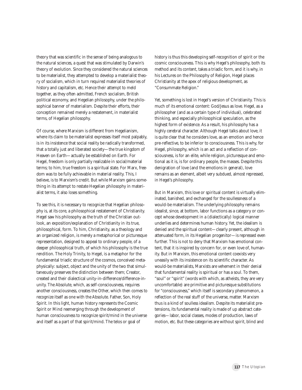theory that was scientific in the sense of being analogous to the natural sciences, a quest that was stimulated by Darwin's theory of evolution. Since they considered the natural sciences to be materialist, they attempted to develop a materialist theory of socialism, which in turn required materialist theories of history and capitalism, etc. Hence their attempt to meld together, as they often admitted, French socialism, British political economy, and Hegelian philosophy, under the philosophical banner of materialism. Despite their efforts, their conception remained merely a restatement, in materialist terms, of Hegelian philosophy.

Of course, where Marxism is different from Hegelianism, where its claim to be materialist expresses itself most palpably, is in its insistence that social reality be radically transformed, that a totally just and liberated society—the true kingdom of Heaven on Earth—actually be established on Earth. For Hegel, freedom is only partially realizable in social/material terms; to him, true freedom is a spiritual state. For Marx, freedom was to be fully achievable in material reality. This, I believe, is to Marxism's credit. But while Marxism gains something in its attempt to restate Hegelian philosophy in materialist terms, it also loses something.

To see this, it is necessary to recognize that Hegelian philosophy is, at its core, a philosophical restatement of Christianity. Hegel saw his philosophy as the truth of the Christian outlook, an exposition/explanation of Christianity in its true, philosophical, form. To him, Christianity, as a theology and an organized religion, is merely a metaphorical or picturesque representation, designed to appeal to ordinary people, of a deeper philosophical truth, of which his philosophy is the true rendition. The Holy Trinity, to Hegel, is a metaphor for the fundamental triadic structure of the cosmos, conceived metaphysically: subject, object and the unity of the two that simultaneously preserves the distinction between them; Creator, created and their dialectical unity-in-difference/difference-inunity. The Absolute, which, as self-consciousness, requires another consciousness, creates the Other, which then comes to recognize itself as one with the Absolute. Father, Son, Holy Spirit. In this light, human history represents the Cosmic Spirit or Mind reemerging through the development of human consciousness to recognize spirit/mind in the universe and itself as a part of that spirit/mind. The telos or goal of

history is thus this developing self-recognition of spirit or the cosmic consciousness. This is why Hegel's philosophy, both its method and its content, takes a triadic form, and it is why, in his Lectures on the Philosophy of Religion, Hegel places Christianity at the apex of religious development, as "Consummate Religion."

Yet, something is lost in Hegel's version of Christianity. This is much of its emotional content: God/Jesus as love. Hegel, as a philosopher (and as a certain type of individual), celebrated thinking, and especially philosophical speculation, as the highest form of existence. As a result, his philosophy has a highly cerebral character. Although Hegel talks about love, it is quite clear that he considers love, as an emotion and hence pre-reflective, to be inferior to consciousness. This is why, for Hegel, philosophy, which is an act and a reflection of consciousness, is for an elite, while religion, picturesque and emotional as it is, is for ordinary people, the masses. Despite this denigration of love (and the emotions in general), love remains as an element, albeit very subdued, almost repressed, in Hegel's philosophy.

But in Marxism, this love or spiritual content is virtually eliminated, banished, and exchanged for the soullessness of a would-be materialism. The underlying philosophy remains idealist, since, at bottom, labor functions as a category or concept whose development in a (dialectically) logical manner underlies and determines human history. Yet, the idealism is denied and the spiritual content—clearly present, although in attenuated form, in its Hegelian progenitor—is repressed even further. This is not to deny that Marxism has emotional content, that it is inspired by concern for, or even love of, humanity. But in Marxism, this emotional content coexists very uneasily with its insistence on its scientific character. As would-be materialists, Marxists are vehement in their denial that fundamental reality is spiritual or has a soul. To them, "soul" or "spirit" (words with which, as atheists, they are very uncomfortable) are primitive and picturesque substitutions for "consciousness," which itself is secondary phenomenon, a reflection of the real stuff of the universe, matter. Marxism thus is a kind of soulless idealism. Despite its materialist pretensions, its fundamental reality is made of up abstract categories—labor, social classes, modes of production, laws of motion, etc. But these categories are without spirit, blind and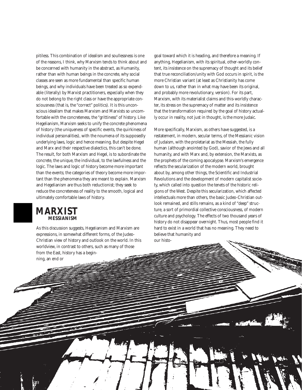pitiless. This combination of idealism and soullessness is one of the reasons, I think, why Marxism tends to think about and be concerned with humanity in the abstract, as Humanity, rather than with human beings in the concrete, why social classes are seen as more fundamental than specific human beings, and why individuals have been treated as so expendable (literally) by Marxist practitioners, especially when they do not belong to the right class or have the appropriate consciousness (that is, the "correct" politics). It is this unconscious idealism that makes Marxism and Marxists so uncomfortable with the concreteness, the "grittiness" of history. Like Hegelianism, Marxism seeks to unify the concrete phenomena of history (the uniqueness of specific events, the quirkiness of individual personalities), with the noumena of its supposedly underlying laws, logic and hence meaning. But despite Hegel and Marx and their respective dialectics, this can't be done. The result, for both Marxism and Hegel, is to subordinate the concrete, the unique, the individual, to the lawfulness and the logic. The laws and logic of history become more important than the events; the categories of theory become more important than the phenomena they are meant to explain. Marxism and Hegelianism are thus both reductionist; they seek to reduce the concreteness of reality to the smooth, logical and ultimately comfortable laws of history.

## **Marxist Messianism MESSIANISMMARXIST**

As this discussion suggests, Hegelianism and Marxism are expressions, in somewhat different forms, of the Judeo-Christian view of history and outlook on the world. In this worldview, in contrast to others, such as many of those from the East, history has a beginning, an end or

goal toward which it is heading, and therefore a meaning. If anything, Hegelianism, with its spiritual, other-worldly content, its insistence on the supremacy of thought and its belief that true reconciliation/unity with God occurs in spirit, is the more Christian variant (at least as Christianity has come down to us, rather than in what may have been its original, and probably more revolutionary, version). For its part, Marxism, with its materialist claims and this-worldly character, its stress on the supremacy of matter and its insistence that the transformation required by the goal of history actually occur in reality, not just in thought, is the more Judaic.

More specifically, Marxism, as others have suggested, is a restatement, in modern, secular terms, of the Messianic vision of Judaism, with the proletariat as the Messiah, the fully human (although anointed by God), savior of the Jews and all humanity, and with Marx and, by extension, the Marxists, as the prophets of the coming apocalypse. Marxism's emergence reflects the secularization of the modern world, brought about by, among other things, the Scientific and Industrial Revolutions and the development of modern capitalist society, which called into question the tenets of the historic religions of the West. Despite this secularization, which affected intellectuals more than others, the basic Judeo-Christian outlook remained, and stills remains, as a kind of "deep" structure, a sort of primordial collective consciousness, of modern culture and psychology. The effects of two thousand years of history do not disappear overnight. Thus, most people find it hard to exist in a world that has no meaning. They need to believe that humanity and our histo-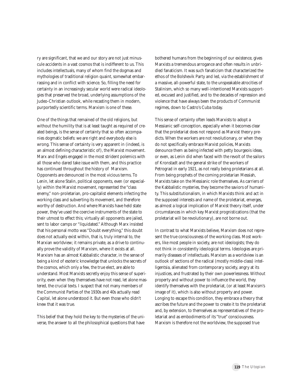ry are significant, that we and our story are not just minuscule accidents in a vast cosmos that is indifferent to us. This includes intellectuals, many of whom find the dogmas and mythologies of traditional religion quaint, somewhat embarrassing and in conflict with science. So, filling the need for certainty in an increasingly secular world were radical ideologies that preserved the broad, underlying assumptions of the Judeo-Christian outlook, while recasting them in modern, purportedly scientific terms. Marxism is one of these.

One of the things that remained of the old religions, but without the humility that is at least taught as required of created beings, is the sense of certainty that so often accompanies dogmatic beliefs: we are right and everybody else is wrong. This sense of certainty is very apparent in (indeed, is an almost defining characteristic of), the Marxist movement. Marx and Engels engaged in the most strident polemics with all those who dared take issue with them, and this practice has continued throughout the history of Marxism. Opponents are denounced in the most vicious terms. To Lenin, let alone Stalin, political opponents, even (or especially) within the Marxist movement, represented the "class enemy," non-proletarian, pro-capitalist elements infecting the working class and subverting its movement, and therefore worthy of destruction. And where Marxists have held state power, they've used the coercive instruments of the state to their utmost to effect this; virtually all opponents are jailed, sent to labor camps or "liquidated." Although Marx insisted that his personal motto was "Doubt everything," this doubt does not actually exist within, that is, truly internal to, the Marxian worldview; it remains private, as a drive to continually prove the validity of Marxism, where it exists at all. Marxism has an almost Kabbalistic character, in the sense of being a kind of esoteric knowledge that unlocks the secrets of the cosmos, which only a few, the true elect, are able to understand. Most Marxists secretly enjoy this sense of superiority, even when they themselves have not read, let alone mastered, the crucial texts. I suspect that not many members of the Communist Parties of the 1930s and 40s actually read *Capital*, let alone understood it. But even those who didn't *knew* that it was true.

This belief that they hold the key to the mysteries of the universe, the answer to all the philosophical questions that have bothered humans from the beginning of our existence, gives Marxists a tremendous arrogance and often results in unbridled fanaticism. It was such fanaticism that characterized the ethos of the Bolshevik Party and led, via the establishment of a massive, all-powerful state, to the unspeakable atrocities of Stalinism, which so many well-intentioned Marxists supported, excused and justified, and to the decades of repression and violence that have always been the products of Communist regimes, down to Castro's Cuba today.

This sense of certainty often leads Marxists to adopt a Messianic self-conception, especially when it becomes clear that the proletariat does not respond as Marxist theory predicts. When the workers are not revolutionary, or when they do not specifically embrace Marxist policies, Marxists denounce them as being infected with petty bourgeois ideas, or even, as Lenin did when faced with the revolt of the sailors of Kronstadt and the general strike of the workers of Petrograd in early 1921, as not really being proletarians at all. From being prophets of the coming proletarian Messiah, Marxists take on the Messianic role themselves. As carriers of the Kabbalistic mysteries, they become the saviors of humanity. This substitutionalism, in which Marxists think and act in the supposed interests and name of the proletariat, emerges, as almost a logical implication of Marxist theory itself, under circumstances in which key Marxist prognistications (that the proletariat will be revolutionary), are not borne out.

In contrast to what Marxists believe, Marxism does not represent the true consciousness of the working class. Most workers, like most people in society, are not ideologists; they do not think in consistently ideological terms. Ideologies are primarily diseases of intellectuals. Marxism as a worldview is an outlook of sections of the radical (mostly middle-class) intelligentsia, alienated from contemporary society, angry at its injustices, and frustrated by their own powerlessness. Without property and without power to influence the world, they identify themselves with the proletariat, (or at least Marxism's image of it), which is also without property and power. Longing to escape this condition, they embrace a theory that ascribes the future and the power to create it to the proletariat and, by extension, to themselves as representatives of the proletariat and as embodiments of its "true" consciousness. Marxism is therefore not the worldview, the supposed true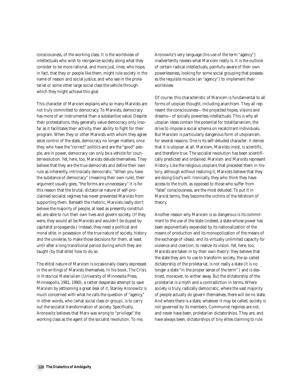consciousness, of the working class. It is the worldview of intellectuals who wish to reorganize society along what they consider to be more rational, and more just, lines; who hope, in fact, that they or people like them, might rule society in the name of reason and social justice, and who see in the proletariat or some other large social class the vehicle through which they might achieve this goal.

This character of Marxism explains why so many Marxists are not truly committed to democracy. To Marxists, democracy has more of an instrumental than a substantive value. Despite their protestations, they generally value democracy only insofar as it facilitates their activity, their ability to fight for their program. When they or other Marxists with whom they agree seize control of the state, democracy no longer matters; once they, who have the "correct" politics and are the "good" people, are in power, democracy can only be a vehicle for counterrevolution. Yet, here, too, Marxists delude themselves. They believe that they are the true democrats and define their own rule as inherently, intrinsically democratic. "When you have the substance of democracy" (meaning their own rule), their argument usually goes, "the forms are unnecessary." It is for this reason that the brutal, dictatorial nature of self-proclaimed socialist regimes has never prevented Marxists from supporting them. Beneath the rhetoric, Marxists really don't believe the majority of people, at least as presently constituted, are able to run their own lives and govern society. (If they were, they would all be Marxists and wouldn't be duped by capitalist propaganda.) Instead, they need a political and moral elite, in possession of the true nature of society, history and the universe, to make those decisions for them, at least until after a long transitional period during which they are taught (by that elite) how to do so.

The elitist nature of Marxism is occasionally clearly expressed in the writings of Marxists themselves. In his book, *The Crisis in Historical Materialism* (University of Minnesota Press, Minneapolis, 1981, 1990), a rather desperate attempt to save Marxism by jettisoning a great deal of it, Stanley Aronowitz is much concerned with what he calls the question of "agency," in other words, who (what social class or group), is to carry out the socialist transformation of society. Specifically, Aronowitz believes that Marx was wrong to "privilege" the working class as the agent of the socialist revolution. To me,

Aronowitz's very language (his use of the term "agency") inadvertently reveals what Marxism really is. It is the outlook of certain radical intellectuals, painfully aware of their own powerlessness, looking for some social grouping that possesses the requisite muscle (an "agency") to implement their worldview.

Of course, this characteristic of Marxism is fundamental to all forms of utopian thought, including anarchism. They all represent the consciousness—the projected hopes, visions and dreams—of socially powerless intellectuals. This is why all utopian ideas contain the potential for totalitarianism, the drive to impose a social schema on recalcitrant individuals. But Marxism is particularly dangerous form of utopianism, for several reasons. One is its self-deluded character: it denies that it is utopian at all. Marxism, Marxists insist, is scientific, and therefore true. The socialist revolution has been scientifically predicted and ordained. Marxism and Marxists represent History. Like the religious utopians that preceded them in history, although without realizing it, Marxists believe that they are doing God's will. Ironically, they who think they have access to the truth, as opposed to those who suffer from "false" consciousness, are the most deluded. To put it in Marxist terms, they become the victims of the fetishism of theory.

Another reason why Marxism is so dangerous is its commitment to the use of the state (indeed, a state whose power has been exponentially expanded by its nationalization of the means of production and its monopolization of the means of the exchange of ideas), and its virtually unlimited capacity for violence and coercion, to realize its vision. Yet, here, too, Marxists are taken in by their own theory: they believe that the state they aim to use to transform society, the so-called dictatorship of the proletariat, is not really a state (it is no longer a state "in the proper sense of the term" ) and is destined, moreover, to wither away. But the dictatorship of the proletariat is a myth and a contradiction in terms. Where society is truly, radically democratic, where the vast majority of people actually do govern themselves, there will be no state. And where there is a state, whatever it may be called, society is not governed by its members. Communist regimes are not, and never have been, proletarian dictatorships. They are, and have always been, dictatorships of tiny elites claiming to rule